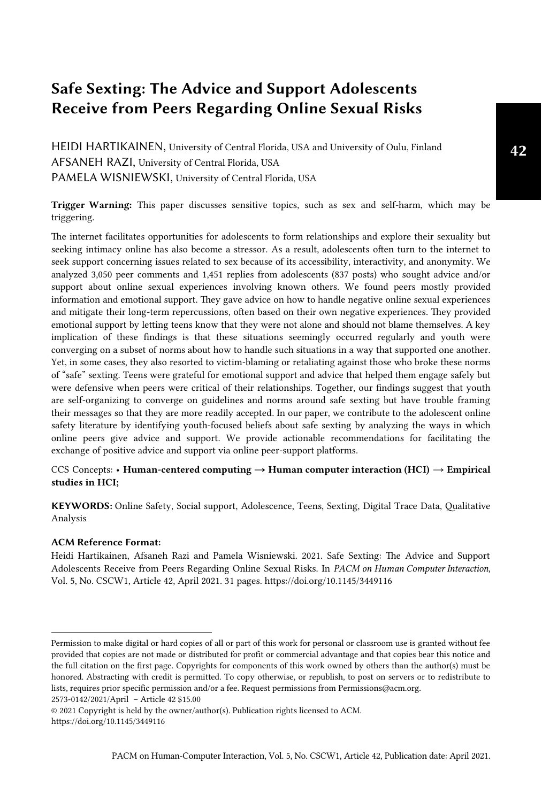# Safe Sexting: The Advice and Support Adolescents Receive from Peers Regarding Online Sexual Risks

HEIDI HARTIKAINEN, University of Central Florida, USA and University of Oulu, Finland AFSANEH RAZI, University of Central Florida, USA PAMELA WISNIEWSKI, University of Central Florida, USA

Trigger Warning: This paper discusses sensitive topics, such as sex and self-harm, which may be triggering.

The internet facilitates opportunities for adolescents to form relationships and explore their sexuality but seeking intimacy online has also become a stressor. As a result, adolescents often turn to the internet to seek support concerning issues related to sex because of its accessibility, interactivity, and anonymity. We analyzed 3,050 peer comments and 1,451 replies from adolescents (837 posts) who sought advice and/or support about online sexual experiences involving known others. We found peers mostly provided information and emotional support. They gave advice on how to handle negative online sexual experiences and mitigate their long-term repercussions, often based on their own negative experiences. They provided emotional support by letting teens know that they were not alone and should not blame themselves. A key implication of these findings is that these situations seemingly occurred regularly and youth were converging on a subset of norms about how to handle such situations in a way that supported one another. Yet, in some cases, they also resorted to victim-blaming or retaliating against those who broke these norms of "safe" sexting. Teens were grateful for emotional support and advice that helped them engage safely but were defensive when peers were critical of their relationships. Together, our findings suggest that youth are self-organizing to converge on guidelines and norms around safe sexting but have trouble framing their messages so that they are more readily accepted. In our paper, we contribute to the adolescent online safety literature by identifying youth-focused beliefs about safe sexting by analyzing the ways in which online peers give advice and support. We provide actionable recommendations for facilitating the exchange of positive advice and support via online peer-support platforms.

## CCS Concepts: • Human-centered computing  $\rightarrow$  Human computer interaction (HCI)  $\rightarrow$  Empirical studies in HCI;

KEYWORDS: Online Safety, Social support, Adolescence, Teens, Sexting, Digital Trace Data, Qualitative Analysis

### ACM Reference Format:

Heidi Hartikainen, Afsaneh Razi and Pamela Wisniewski. 2021. Safe Sexting: The Advice and Support Adolescents Receive from Peers Regarding Online Sexual Risks. In *PACM on Human Computer Interaction,*  Vol. 5, No. CSCW1, Article 42, April 2021. 31 pages. https://doi.org/10.1145/3449116 <sup>1</sup>

Permission to make digital or hard copies of all or part of this work for personal or classroom use is granted without fee provided that copies are not made or distributed for profit or commercial advantage and that copies bear this notice and the full citation on the first page. Copyrights for components of this work owned by others than the author(s) must be honored. Abstracting with credit is permitted. To copy otherwise, or republish, to post on servers or to redistribute to lists, requires prior specific permission and/or a fee. Request permissions from Permissions@acm.org. 2573-0142/2021/April – Article 42 \$15.00

<sup>© 2021</sup> Copyright is held by the owner/author(s). Publication rights licensed to ACM. <https://doi.org/10.1145/3449116>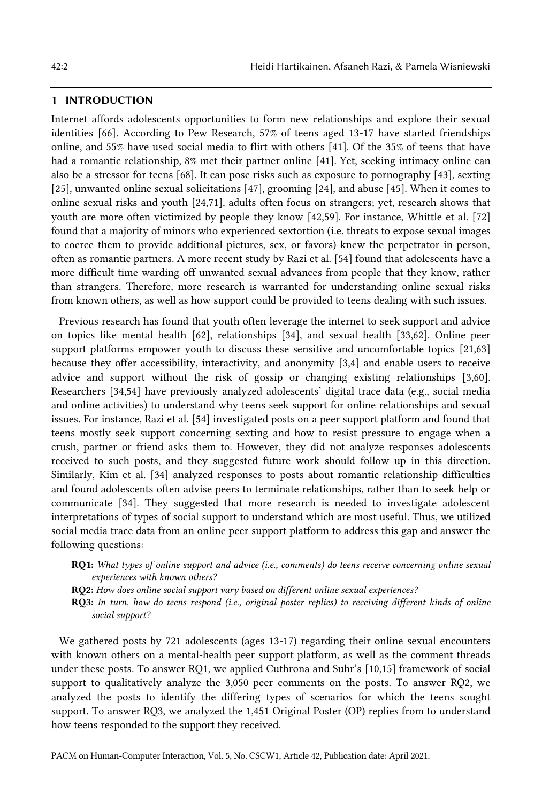#### 1 INTRODUCTION

Internet affords adolescents opportunities to form new relationships and explore their sexual identities [66]. According to Pew Research, 57% of teens aged 13-17 have started friendships online, and 55% have used social media to flirt with others [41]. Of the 35% of teens that have had a romantic relationship, 8% met their partner online [41]. Yet, seeking intimacy online can also be a stressor for teens [68]. It can pose risks such as exposure to pornography [43], sexting [25], unwanted online sexual solicitations [47], grooming [24], and abuse [45]. When it comes to online sexual risks and youth [24,71], adults often focus on strangers; yet, research shows that youth are more often victimized by people they know [42,59]. For instance, Whittle et al. [72] found that a majority of minors who experienced sextortion (i.e. threats to expose sexual images to coerce them to provide additional pictures, sex, or favors) knew the perpetrator in person, often as romantic partners. A more recent study by Razi et al. [54] found that adolescents have a more difficult time warding off unwanted sexual advances from people that they know, rather than strangers. Therefore, more research is warranted for understanding online sexual risks from known others, as well as how support could be provided to teens dealing with such issues.

Previous research has found that youth often leverage the internet to seek support and advice on topics like mental health [62], relationships [34], and sexual health [33,62]. Online peer support platforms empower youth to discuss these sensitive and uncomfortable topics [21,63] because they offer accessibility, interactivity, and anonymity [3,4] and enable users to receive advice and support without the risk of gossip or changing existing relationships [3,60]. Researchers [34,54] have previously analyzed adolescents' digital trace data (e.g., social media and online activities) to understand why teens seek support for online relationships and sexual issues. For instance, Razi et al. [54] investigated posts on a peer support platform and found that teens mostly seek support concerning sexting and how to resist pressure to engage when a crush, partner or friend asks them to. However, they did not analyze responses adolescents received to such posts, and they suggested future work should follow up in this direction. Similarly, Kim et al. [34] analyzed responses to posts about romantic relationship difficulties and found adolescents often advise peers to terminate relationships, rather than to seek help or communicate [34]. They suggested that more research is needed to investigate adolescent interpretations of types of social support to understand which are most useful. Thus, we utilized social media trace data from an online peer support platform to address this gap and answer the following questions:

RQ1: *What types of online support and advice (i.e., comments) do teens receive concerning online sexual experiences with known others?*

RQ2: *How does online social support vary based on different online sexual experiences?*

RQ3: *In turn, how do teens respond (i.e., original poster replies) to receiving different kinds of online social support?*

We gathered posts by 721 adolescents (ages 13-17) regarding their online sexual encounters with known others on a mental-health peer support platform, as well as the comment threads under these posts. To answer RQ1, we applied Cuthrona and Suhr's [10,15] framework of social support to qualitatively analyze the 3,050 peer comments on the posts. To answer RQ2, we analyzed the posts to identify the differing types of scenarios for which the teens sought support. To answer RQ3, we analyzed the 1,451 Original Poster (OP) replies from to understand how teens responded to the support they received.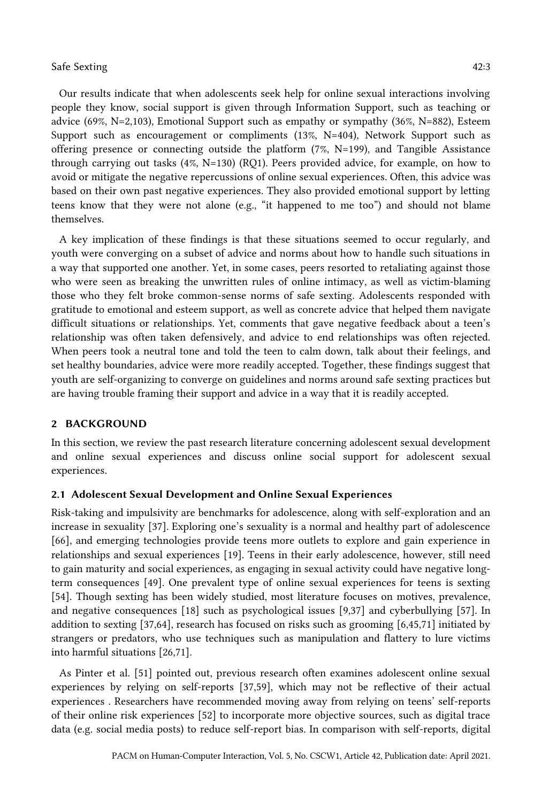Our results indicate that when adolescents seek help for online sexual interactions involving people they know, social support is given through Information Support, such as teaching or advice (69%, N=2,103), Emotional Support such as empathy or sympathy (36%, N=882), Esteem Support such as encouragement or compliments (13%, N=404), Network Support such as offering presence or connecting outside the platform  $(7\%, N=199)$ , and Tangible Assistance through carrying out tasks (4%, N=130) (RQ1). Peers provided advice, for example, on how to avoid or mitigate the negative repercussions of online sexual experiences. Often, this advice was based on their own past negative experiences. They also provided emotional support by letting teens know that they were not alone (e.g., "it happened to me too") and should not blame themselves.

A key implication of these findings is that these situations seemed to occur regularly, and youth were converging on a subset of advice and norms about how to handle such situations in a way that supported one another. Yet, in some cases, peers resorted to retaliating against those who were seen as breaking the unwritten rules of online intimacy, as well as victim-blaming those who they felt broke common-sense norms of safe sexting. Adolescents responded with gratitude to emotional and esteem support, as well as concrete advice that helped them navigate difficult situations or relationships. Yet, comments that gave negative feedback about a teen's relationship was often taken defensively, and advice to end relationships was often rejected. When peers took a neutral tone and told the teen to calm down, talk about their feelings, and set healthy boundaries, advice were more readily accepted. Together, these findings suggest that youth are self-organizing to converge on guidelines and norms around safe sexting practices but are having trouble framing their support and advice in a way that it is readily accepted.

#### 2 BACKGROUND

In this section, we review the past research literature concerning adolescent sexual development and online sexual experiences and discuss online social support for adolescent sexual experiences.

### 2.1 Adolescent Sexual Development and Online Sexual Experiences

Risk-taking and impulsivity are benchmarks for adolescence, along with self-exploration and an increase in sexuality [37]. Exploring one's sexuality is a normal and healthy part of adolescence [66], and emerging technologies provide teens more outlets to explore and gain experience in relationships and sexual experiences [19]. Teens in their early adolescence, however, still need to gain maturity and social experiences, as engaging in sexual activity could have negative longterm consequences [49]. One prevalent type of online sexual experiences for teens is sexting [54]. Though sexting has been widely studied, most literature focuses on motives, prevalence, and negative consequences [18] such as psychological issues [9,37] and cyberbullying [57]. In addition to sexting [37,64], research has focused on risks such as grooming [6,45,71] initiated by strangers or predators, who use techniques such as manipulation and flattery to lure victims into harmful situations [26,71].

As Pinter et al. [51] pointed out, previous research often examines adolescent online sexual experiences by relying on self-reports [37,59], which may not be reflective of their actual experiences . Researchers have recommended moving away from relying on teens' self-reports of their online risk experiences [52] to incorporate more objective sources, such as digital trace data (e.g. social media posts) to reduce self-report bias. In comparison with self-reports, digital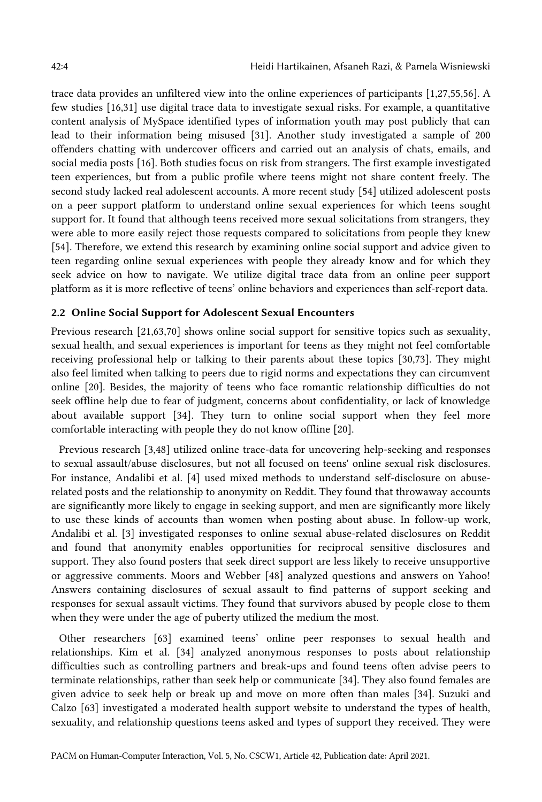trace data provides an unfiltered view into the online experiences of participants [1,27,55,56]. A few studies [16,31] use digital trace data to investigate sexual risks. For example, a quantitative content analysis of MySpace identified types of information youth may post publicly that can lead to their information being misused [31]. Another study investigated a sample of 200 offenders chatting with undercover officers and carried out an analysis of chats, emails, and social media posts [16]. Both studies focus on risk from strangers. The first example investigated teen experiences, but from a public profile where teens might not share content freely. The second study lacked real adolescent accounts. A more recent study [54] utilized adolescent posts on a peer support platform to understand online sexual experiences for which teens sought support for. It found that although teens received more sexual solicitations from strangers, they were able to more easily reject those requests compared to solicitations from people they knew [54]. Therefore, we extend this research by examining online social support and advice given to teen regarding online sexual experiences with people they already know and for which they seek advice on how to navigate. We utilize digital trace data from an online peer support platform as it is more reflective of teens' online behaviors and experiences than self-report data.

## 2.2 Online Social Support for Adolescent Sexual Encounters

Previous research [21,63,70] shows online social support for sensitive topics such as sexuality, sexual health, and sexual experiences is important for teens as they might not feel comfortable receiving professional help or talking to their parents about these topics [30,73]. They might also feel limited when talking to peers due to rigid norms and expectations they can circumvent online [20]. Besides, the majority of teens who face romantic relationship difficulties do not seek offline help due to fear of judgment, concerns about confidentiality, or lack of knowledge about available support [34]. They turn to online social support when they feel more comfortable interacting with people they do not know offline [20].

Previous research [3,48] utilized online trace-data for uncovering help-seeking and responses to sexual assault/abuse disclosures, but not all focused on teens' online sexual risk disclosures. For instance, Andalibi et al. [4] used mixed methods to understand self-disclosure on abuserelated posts and the relationship to anonymity on Reddit. They found that throwaway accounts are significantly more likely to engage in seeking support, and men are significantly more likely to use these kinds of accounts than women when posting about abuse. In follow-up work, Andalibi et al. [3] investigated responses to online sexual abuse-related disclosures on Reddit and found that anonymity enables opportunities for reciprocal sensitive disclosures and support. They also found posters that seek direct support are less likely to receive unsupportive or aggressive comments. Moors and Webber [48] analyzed questions and answers on Yahoo! Answers containing disclosures of sexual assault to find patterns of support seeking and responses for sexual assault victims. They found that survivors abused by people close to them when they were under the age of puberty utilized the medium the most.

Other researchers [63] examined teens' online peer responses to sexual health and relationships. Kim et al. [34] analyzed anonymous responses to posts about relationship difficulties such as controlling partners and break-ups and found teens often advise peers to terminate relationships, rather than seek help or communicate [34]. They also found females are given advice to seek help or break up and move on more often than males [34]. Suzuki and Calzo [63] investigated a moderated health support website to understand the types of health, sexuality, and relationship questions teens asked and types of support they received. They were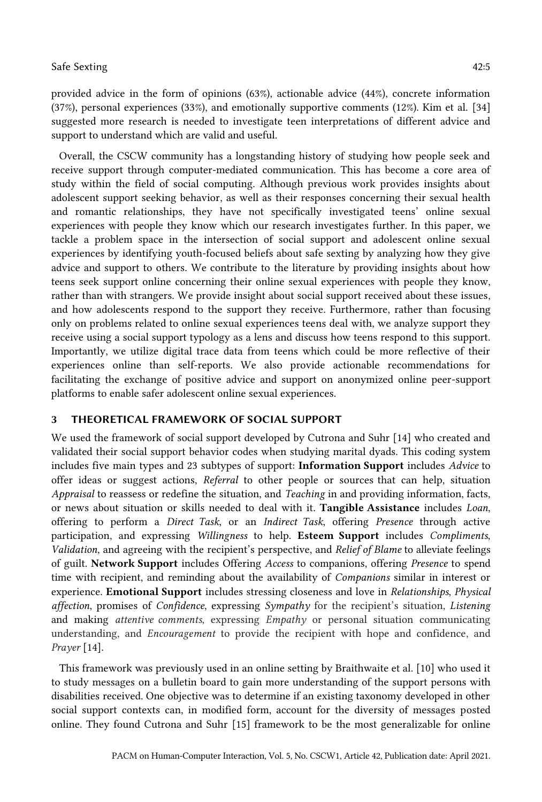provided advice in the form of opinions (63%), actionable advice (44%), concrete information (37%), personal experiences (33%), and emotionally supportive comments (12%). Kim et al. [34] suggested more research is needed to investigate teen interpretations of different advice and support to understand which are valid and useful.

Overall, the CSCW community has a longstanding history of studying how people seek and receive support through computer-mediated communication. This has become a core area of study within the field of social computing. Although previous work provides insights about adolescent support seeking behavior, as well as their responses concerning their sexual health and romantic relationships, they have not specifically investigated teens' online sexual experiences with people they know which our research investigates further. In this paper, we tackle a problem space in the intersection of social support and adolescent online sexual experiences by identifying youth-focused beliefs about safe sexting by analyzing how they give advice and support to others. We contribute to the literature by providing insights about how teens seek support online concerning their online sexual experiences with people they know, rather than with strangers. We provide insight about social support received about these issues, and how adolescents respond to the support they receive. Furthermore, rather than focusing only on problems related to online sexual experiences teens deal with, we analyze support they receive using a social support typology as a lens and discuss how teens respond to this support. Importantly, we utilize digital trace data from teens which could be more reflective of their experiences online than self-reports. We also provide actionable recommendations for facilitating the exchange of positive advice and support on anonymized online peer-support platforms to enable safer adolescent online sexual experiences.

## 3 THEORETICAL FRAMEWORK OF SOCIAL SUPPORT

We used the framework of social support developed by Cutrona and Suhr [14] who created and validated their social support behavior codes when studying marital dyads. This coding system includes five main types and 23 subtypes of support: Information Support includes *Advice* to offer ideas or suggest actions, *Referral* to other people or sources that can help, situation *Appraisal* to reassess or redefine the situation, and *Teaching* in and providing information, facts, or news about situation or skills needed to deal with it. Tangible Assistance includes *Loan*, offering to perform a *Direct Task*, or an *Indirect Task*, offering *Presence* through active participation, and expressing *Willingness* to help. Esteem Support includes *Compliments*, *Validation*, and agreeing with the recipient's perspective, and *Relief of Blame* to alleviate feelings of guilt. Network Support includes Offering *Access* to companions, offering *Presence* to spend time with recipient, and reminding about the availability of *Companions* similar in interest or experience. Emotional Support includes stressing closeness and love in *Relationships*, *Physical affection*, promises of *Confidence*, expressing *Sympathy* for the recipient's situation, *Listening* and making *attentive comments*, expressing *Empathy* or personal situation communicating understanding, and *Encouragement* to provide the recipient with hope and confidence, and *Prayer* [14].

This framework was previously used in an online setting by Braithwaite et al. [10] who used it to study messages on a bulletin board to gain more understanding of the support persons with disabilities received. One objective was to determine if an existing taxonomy developed in other social support contexts can, in modified form, account for the diversity of messages posted online. They found Cutrona and Suhr [15] framework to be the most generalizable for online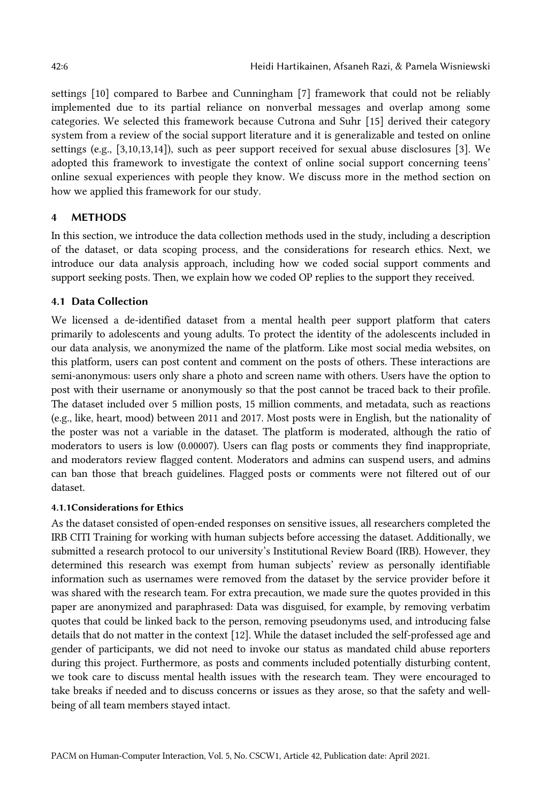settings [10] compared to Barbee and Cunningham [7] framework that could not be reliably implemented due to its partial reliance on nonverbal messages and overlap among some categories. We selected this framework because Cutrona and Suhr [15] derived their category system from a review of the social support literature and it is generalizable and tested on online settings (e.g., [3,10,13,14]), such as peer support received for sexual abuse disclosures [3]. We adopted this framework to investigate the context of online social support concerning teens' online sexual experiences with people they know. We discuss more in the method section on how we applied this framework for our study.

## 4 METHODS

In this section, we introduce the data collection methods used in the study, including a description of the dataset, or data scoping process, and the considerations for research ethics. Next, we introduce our data analysis approach, including how we coded social support comments and support seeking posts. Then, we explain how we coded OP replies to the support they received.

## 4.1 Data Collection

We licensed a de-identified dataset from a mental health peer support platform that caters primarily to adolescents and young adults. To protect the identity of the adolescents included in our data analysis, we anonymized the name of the platform. Like most social media websites, on this platform, users can post content and comment on the posts of others. These interactions are semi-anonymous: users only share a photo and screen name with others. Users have the option to post with their username or anonymously so that the post cannot be traced back to their profile. The dataset included over 5 million posts, 15 million comments, and metadata, such as reactions (e.g., like, heart, mood) between 2011 and 2017. Most posts were in English, but the nationality of the poster was not a variable in the dataset. The platform is moderated, although the ratio of moderators to users is low (0.00007). Users can flag posts or comments they find inappropriate, and moderators review flagged content. Moderators and admins can suspend users, and admins can ban those that breach guidelines. Flagged posts or comments were not filtered out of our dataset.

### 4.1.1Considerations for Ethics

As the dataset consisted of open-ended responses on sensitive issues, all researchers completed the IRB CITI Training for working with human subjects before accessing the dataset. Additionally, we submitted a research protocol to our university's Institutional Review Board (IRB). However, they determined this research was exempt from human subjects' review as personally identifiable information such as usernames were removed from the dataset by the service provider before it was shared with the research team. For extra precaution, we made sure the quotes provided in this paper are anonymized and paraphrased: Data was disguised, for example, by removing verbatim quotes that could be linked back to the person, removing pseudonyms used, and introducing false details that do not matter in the context [12]. While the dataset included the self-professed age and gender of participants, we did not need to invoke our status as mandated child abuse reporters during this project. Furthermore, as posts and comments included potentially disturbing content, we took care to discuss mental health issues with the research team. They were encouraged to take breaks if needed and to discuss concerns or issues as they arose, so that the safety and wellbeing of all team members stayed intact.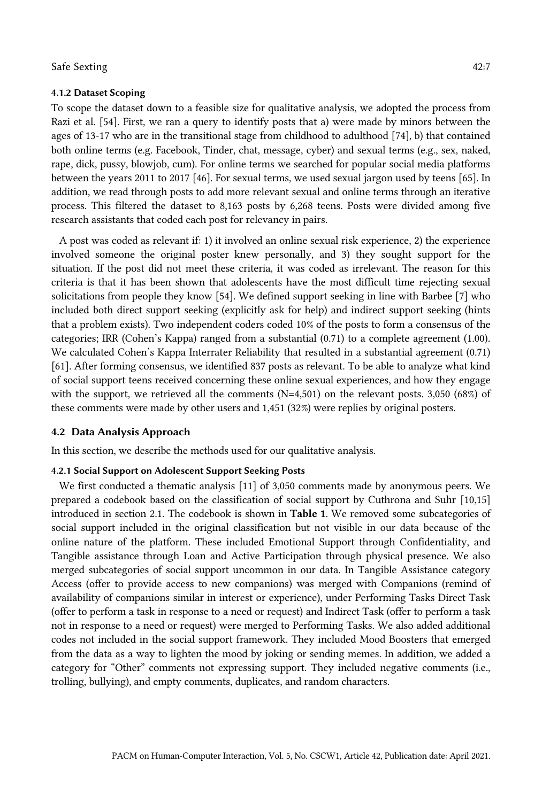#### 4.1.2 Dataset Scoping

To scope the dataset down to a feasible size for qualitative analysis, we adopted the process from Razi et al. [54]. First, we ran a query to identify posts that a) were made by minors between the ages of 13-17 who are in the transitional stage from childhood to adulthood [74], b) that contained both online terms (e.g. Facebook, Tinder, chat, message, cyber) and sexual terms (e.g., sex, naked, rape, dick, pussy, blowjob, cum). For online terms we searched for popular social media platforms between the years 2011 to 2017 [46]. For sexual terms, we used sexual jargon used by teens [65]. In addition, we read through posts to add more relevant sexual and online terms through an iterative process. This filtered the dataset to 8,163 posts by 6,268 teens. Posts were divided among five research assistants that coded each post for relevancy in pairs.

A post was coded as relevant if: 1) it involved an online sexual risk experience, 2) the experience involved someone the original poster knew personally, and 3) they sought support for the situation. If the post did not meet these criteria, it was coded as irrelevant. The reason for this criteria is that it has been shown that adolescents have the most difficult time rejecting sexual solicitations from people they know [54]. We defined support seeking in line with Barbee [7] who included both direct support seeking (explicitly ask for help) and indirect support seeking (hints that a problem exists). Two independent coders coded 10% of the posts to form a consensus of the categories; IRR (Cohen's Kappa) ranged from a substantial (0.71) to a complete agreement (1.00). We calculated Cohen's Kappa Interrater Reliability that resulted in a substantial agreement (0.71) [61]. After forming consensus, we identified 837 posts as relevant. To be able to analyze what kind of social support teens received concerning these online sexual experiences, and how they engage with the support, we retrieved all the comments (N=4,501) on the relevant posts. 3,050 (68%) of these comments were made by other users and 1,451 (32%) were replies by original posters.

## 4.2 Data Analysis Approach

In this section, we describe the methods used for our qualitative analysis.

#### 4.2.1 Social Support on Adolescent Support Seeking Posts

We first conducted a thematic analysis [11] of 3,050 comments made by anonymous peers. We prepared a codebook based on the classification of social support by Cuthrona and Suhr [10,15] introduced in section 2.1. The codebook is shown in Table 1. We removed some subcategories of social support included in the original classification but not visible in our data because of the online nature of the platform. These included Emotional Support through Confidentiality, and Tangible assistance through Loan and Active Participation through physical presence. We also merged subcategories of social support uncommon in our data. In Tangible Assistance category Access (offer to provide access to new companions) was merged with Companions (remind of availability of companions similar in interest or experience), under Performing Tasks Direct Task (offer to perform a task in response to a need or request) and Indirect Task (offer to perform a task not in response to a need or request) were merged to Performing Tasks. We also added additional codes not included in the social support framework. They included Mood Boosters that emerged from the data as a way to lighten the mood by joking or sending memes. In addition, we added a category for "Other" comments not expressing support. They included negative comments (i.e., trolling, bullying), and empty comments, duplicates, and random characters.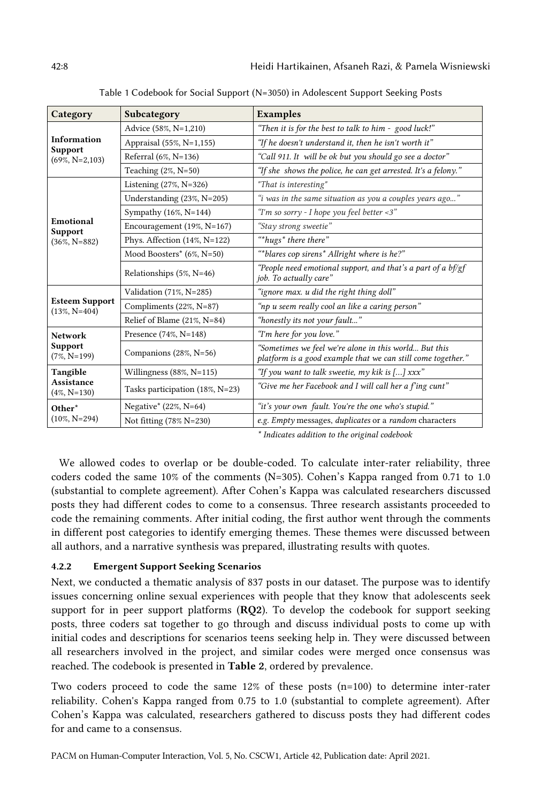| Category                                           | Subcategory                     | <b>Examples</b>                                                                                                       |
|----------------------------------------------------|---------------------------------|-----------------------------------------------------------------------------------------------------------------------|
| Information<br><b>Support</b><br>$(69\%, N=2,103)$ | Advice (58%, N=1,210)           | "Then it is for the best to talk to him - good luck!"                                                                 |
|                                                    | Appraisal (55%, N=1,155)        | "If he doesn't understand it, then he isn't worth it"                                                                 |
|                                                    | Referral (6%, N=136)            | "Call 911. It will be ok but you should go see a doctor"                                                              |
|                                                    | Teaching (2%, N=50)             | "If she shows the police, he can get arrested. It's a felony."                                                        |
| Emotional<br><b>Support</b><br>$(36\%, N=882)$     | Listening (27%, N=326)          | "That is interesting"                                                                                                 |
|                                                    | Understanding (23%, N=205)      | "i was in the same situation as you a couples years ago"                                                              |
|                                                    | Sympathy $(16\%, N=144)$        | "I'm so sorry - I hope you feel better <3"                                                                            |
|                                                    | Encouragement $(19\%, N=167)$   | "Stay strong sweetie"                                                                                                 |
|                                                    | Phys. Affection (14%, N=122)    | "*hugs* there there"                                                                                                  |
|                                                    | Mood Boosters* (6%, N=50)       | "*blares cop sirens* Allright where is he?"                                                                           |
|                                                    | Relationships (5%, N=46)        | "People need emotional support, and that's a part of a $bf/gf$<br>job. To actually care"                              |
| <b>Esteem Support</b><br>$(13\%, N=404)$           | Validation (71%, N=285)         | "ignore max. u did the right thing doll"                                                                              |
|                                                    | Compliments (22%, N=87)         | "np u seem really cool an like a caring person"                                                                       |
|                                                    | Relief of Blame (21%, N=84)     | "honestly its not your fault"                                                                                         |
| <b>Network</b><br><b>Support</b><br>$(7\%, N=199)$ | Presence (74%, N=148)           | "I'm here for you love."                                                                                              |
|                                                    | Companions (28%, N=56)          | "Sometimes we feel we're alone in this world But this<br>platform is a good example that we can still come together." |
| Tangible<br><b>Assistance</b><br>$(4\%, N=130)$    | Willingness $(88\%, N=115)$     | "If you want to talk sweetie, my kik is $[]$ xxx"                                                                     |
|                                                    | Tasks participation (18%, N=23) | "Give me her Facebook and I will call her a f'ing cunt"                                                               |
| Other*<br>$(10\%, N=294)$                          | Negative* $(22\%, N=64)$        | "it's your own fault. You're the one who's stupid."                                                                   |
|                                                    | Not fitting (78% N=230)         | e.g. Empty messages, <i>duplicates</i> or a <i>random</i> characters                                                  |

Table 1 Codebook for Social Support (N=3050) in Adolescent Support Seeking Posts

*\* Indicates addition to the original codebook*

We allowed codes to overlap or be double-coded. To calculate inter-rater reliability, three coders coded the same 10% of the comments (N=305). Cohen's Kappa ranged from 0.71 to 1.0 (substantial to complete agreement). After Cohen's Kappa was calculated researchers discussed posts they had different codes to come to a consensus. Three research assistants proceeded to code the remaining comments. After initial coding, the first author went through the comments in different post categories to identify emerging themes. These themes were discussed between all authors, and a narrative synthesis was prepared, illustrating results with quotes.

## 4.2.2 Emergent Support Seeking Scenarios

Next, we conducted a thematic analysis of 837 posts in our dataset. The purpose was to identify issues concerning online sexual experiences with people that they know that adolescents seek support for in peer support platforms (RQ2). To develop the codebook for support seeking posts, three coders sat together to go through and discuss individual posts to come up with initial codes and descriptions for scenarios teens seeking help in. They were discussed between all researchers involved in the project, and similar codes were merged once consensus was reached. The codebook is presented in Table 2, ordered by prevalence.

Two coders proceed to code the same 12% of these posts (n=100) to determine inter-rater reliability. Cohen's Kappa ranged from 0.75 to 1.0 (substantial to complete agreement). After Cohen's Kappa was calculated, researchers gathered to discuss posts they had different codes for and came to a consensus.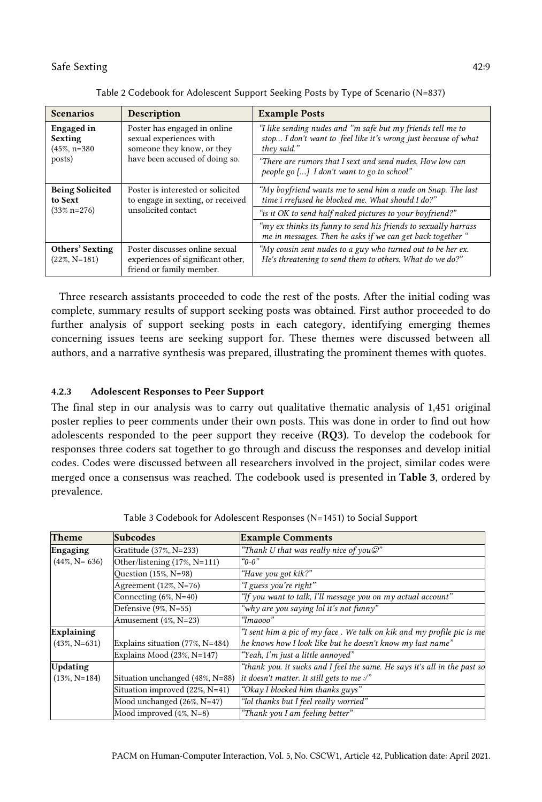| <b>Scenarios</b>                                       | <b>Description</b>                                                                                                      | <b>Example Posts</b>                                                                                                                         |
|--------------------------------------------------------|-------------------------------------------------------------------------------------------------------------------------|----------------------------------------------------------------------------------------------------------------------------------------------|
| <b>Engaged</b> in<br><b>Sexting</b><br>$(45\%, n=380)$ | Poster has engaged in online<br>sexual experiences with<br>someone they know, or they<br>have been accused of doing so. | "I like sending nudes and "m safe but my friends tell me to<br>stop I don't want to feel like it's wrong just because of what<br>they said." |
| posts)                                                 |                                                                                                                         | "There are rumors that I sext and send nudes. How low can<br>people go [] I don't want to go to school"                                      |
| <b>Being Solicited</b><br>to Sext<br>$(33\% n=276)$    | Poster is interested or solicited<br>to engage in sexting, or received<br>unsolicited contact                           | "My boyfriend wants me to send him a nude on Snap. The last<br>time i rrefused he blocked me. What should I do?"                             |
|                                                        |                                                                                                                         | "is it OK to send half naked pictures to your boyfriend?"                                                                                    |
|                                                        |                                                                                                                         | " $my$ ex thinks its funny to send his friends to sexually harrass<br>me in messages. Then he asks if we can get back together "             |
| Others' Sexting<br>$(22\%, N=181)$                     | Poster discusses online sexual<br>experiences of significant other,<br>friend or family member.                         | "My cousin sent nudes to a guy who turned out to be her ex.<br>He's threatening to send them to others. What do we do?"                      |

Table 2 Codebook for Adolescent Support Seeking Posts by Type of Scenario (N=837)

Three research assistants proceeded to code the rest of the posts. After the initial coding was complete, summary results of support seeking posts was obtained. First author proceeded to do further analysis of support seeking posts in each category, identifying emerging themes concerning issues teens are seeking support for. These themes were discussed between all authors, and a narrative synthesis was prepared, illustrating the prominent themes with quotes.

### 4.2.3 Adolescent Responses to Peer Support

The final step in our analysis was to carry out qualitative thematic analysis of 1,451 original poster replies to peer comments under their own posts. This was done in order to find out how adolescents responded to the peer support they receive (RQ3). To develop the codebook for responses three coders sat together to go through and discuss the responses and develop initial codes. Codes were discussed between all researchers involved in the project, similar codes were merged once a consensus was reached. The codebook used is presented in Table 3, ordered by prevalence.

| Theme             | <b>Subcodes</b>                    | <b>Example Comments</b>                                                              |
|-------------------|------------------------------------|--------------------------------------------------------------------------------------|
| <b>Engaging</b>   | Gratitude (37%, N=233)             | "Thank U that was really nice of you $\mathcal{O}$ "                                 |
| $(44\%, N=636)$   | Other/listening (17%, N=111)       | $\degree$ 0-0"                                                                       |
|                   | Question (15%, N=98)               | "Have you got kik?"                                                                  |
|                   | Agreement (12%, N=76)              | "I guess you're right"                                                               |
|                   | Connecting $(6\%, N=40)$           | "If you want to talk, I'll message you on my actual account"                         |
|                   | Defensive (9%, N=55)               | "why are you saying lol it's not funny"                                              |
|                   | Amusement (4%, N=23)               | "Imaooo"                                                                             |
| <b>Explaining</b> |                                    | "I sent him a pic of $m\gamma$ face . We talk on kik and $m\gamma$ profile pic is me |
| $(43\%, N=631)$   | Explains situation $(77\%, N=484)$ | he knows how I look like but he doesn't know my last name"                           |
|                   | Explains Mood $(23\%, N=147)$      | "Yeah, I'm just a little annoyed"                                                    |
| <b>Updating</b>   |                                    | "thank you. it sucks and I feel the same. He says it's all in the past so            |
| $(13\%, N=184)$   | Situation unchanged (48%, N=88)    | it doesn't matter. It still gets to me $\mathcal{P}'$                                |
|                   | Situation improved (22%, N=41)     | "Okay I blocked him thanks guys"                                                     |
|                   | Mood unchanged (26%, N=47)         | "lol thanks but I feel really worried"                                               |
|                   | Mood improved $(4\%, N=8)$         | "Thank you I am feeling better"                                                      |

Table 3 Codebook for Adolescent Responses (N=1451) to Social Support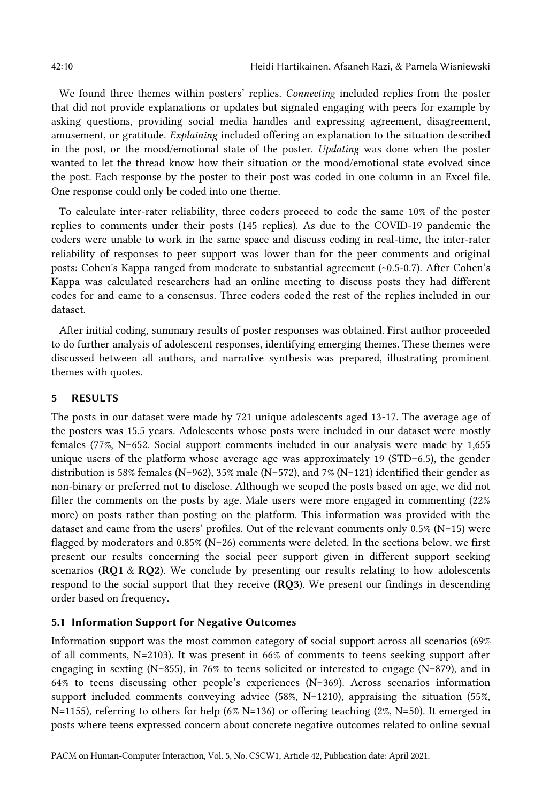We found three themes within posters' replies. *Connecting* included replies from the poster that did not provide explanations or updates but signaled engaging with peers for example by asking questions, providing social media handles and expressing agreement, disagreement, amusement, or gratitude. *Explaining* included offering an explanation to the situation described in the post, or the mood/emotional state of the poster. *Updating* was done when the poster wanted to let the thread know how their situation or the mood/emotional state evolved since the post. Each response by the poster to their post was coded in one column in an Excel file. One response could only be coded into one theme.

To calculate inter-rater reliability, three coders proceed to code the same 10% of the poster replies to comments under their posts (145 replies). As due to the COVID-19 pandemic the coders were unable to work in the same space and discuss coding in real-time, the inter-rater reliability of responses to peer support was lower than for the peer comments and original posts: Cohen's Kappa ranged from moderate to substantial agreement (~0.5-0.7). After Cohen's Kappa was calculated researchers had an online meeting to discuss posts they had different codes for and came to a consensus. Three coders coded the rest of the replies included in our dataset.

After initial coding, summary results of poster responses was obtained. First author proceeded to do further analysis of adolescent responses, identifying emerging themes. These themes were discussed between all authors, and narrative synthesis was prepared, illustrating prominent themes with quotes.

## 5 RESULTS

The posts in our dataset were made by 721 unique adolescents aged 13-17. The average age of the posters was 15.5 years. Adolescents whose posts were included in our dataset were mostly females (77%, N=652. Social support comments included in our analysis were made by 1,655 unique users of the platform whose average age was approximately 19 (STD=6.5), the gender distribution is 58% females (N=962), 35% male (N=572), and 7% (N=121) identified their gender as non-binary or preferred not to disclose. Although we scoped the posts based on age, we did not filter the comments on the posts by age. Male users were more engaged in commenting (22% more) on posts rather than posting on the platform. This information was provided with the dataset and came from the users' profiles. Out of the relevant comments only 0.5% (N=15) were flagged by moderators and 0.85% (N=26) comments were deleted. In the sections below, we first present our results concerning the social peer support given in different support seeking scenarios ( $RQ1 \& RQ2$ ). We conclude by presenting our results relating to how adolescents respond to the social support that they receive (RQ3). We present our findings in descending order based on frequency.

### 5.1 Information Support for Negative Outcomes

Information support was the most common category of social support across all scenarios (69% of all comments, N=2103). It was present in 66% of comments to teens seeking support after engaging in sexting (N=855), in 76% to teens solicited or interested to engage (N=879), and in 64% to teens discussing other people's experiences (N=369). Across scenarios information support included comments conveying advice (58%, N=1210), appraising the situation (55%, N=1155), referring to others for help (6% N=136) or offering teaching (2%, N=50). It emerged in posts where teens expressed concern about concrete negative outcomes related to online sexual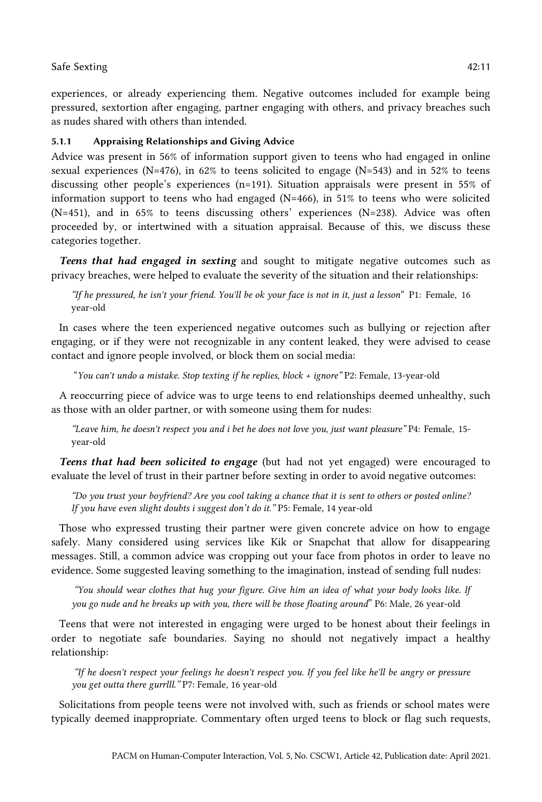experiences, or already experiencing them. Negative outcomes included for example being pressured, sextortion after engaging, partner engaging with others, and privacy breaches such as nudes shared with others than intended.

## 5.1.1 Appraising Relationships and Giving Advice

Advice was present in 56% of information support given to teens who had engaged in online sexual experiences (N=476), in 62% to teens solicited to engage (N=543) and in 52% to teens discussing other people's experiences (n=191). Situation appraisals were present in 55% of information support to teens who had engaged (N=466), in 51% to teens who were solicited (N=451), and in 65% to teens discussing others' experiences (N=238). Advice was often proceeded by, or intertwined with a situation appraisal. Because of this, we discuss these categories together.

*Teens that had engaged in sexting* and sought to mitigate negative outcomes such as privacy breaches, were helped to evaluate the severity of the situation and their relationships:

*"If he pressured, he isn't your friend. You'll be ok your face is not in it, just a lesson*" P1: Female, 16 year-old

In cases where the teen experienced negative outcomes such as bullying or rejection after engaging, or if they were not recognizable in any content leaked, they were advised to cease contact and ignore people involved, or block them on social media:

"*You can't undo a mistake. Stop texting if he replies, block + ignore"* P2: Female, 13-year-old

A reoccurring piece of advice was to urge teens to end relationships deemed unhealthy, such as those with an older partner, or with someone using them for nudes:

*"Leave him, he doesn't respect you and i bet he does not love you, just want pleasure"* P4: Female, 15 year-old

*Teens that had been solicited to engage* (but had not yet engaged) were encouraged to evaluate the level of trust in their partner before sexting in order to avoid negative outcomes:

*"Do you trust your boyfriend? Are you cool taking a chance that it is sent to others or posted online? If you have even slight doubts i suggest don't do it."* P5: Female, 14 year-old

Those who expressed trusting their partner were given concrete advice on how to engage safely. Many considered using services like Kik or Snapchat that allow for disappearing messages. Still, a common advice was cropping out your face from photos in order to leave no evidence. Some suggested leaving something to the imagination, instead of sending full nudes:

*"You should wear clothes that hug your figure. Give him an idea of what your body looks like. If you go nude and he breaks up with you, there will be those floating around*" P6: Male, 26 year-old

Teens that were not interested in engaging were urged to be honest about their feelings in order to negotiate safe boundaries. Saying no should not negatively impact a healthy relationship:

*"If he doesn't respect your feelings he doesn't respect you. If you feel like he'll be angry or pressure you get outta there gurrlll."* P7: Female, 16 year-old

Solicitations from people teens were not involved with, such as friends or school mates were typically deemed inappropriate. Commentary often urged teens to block or flag such requests,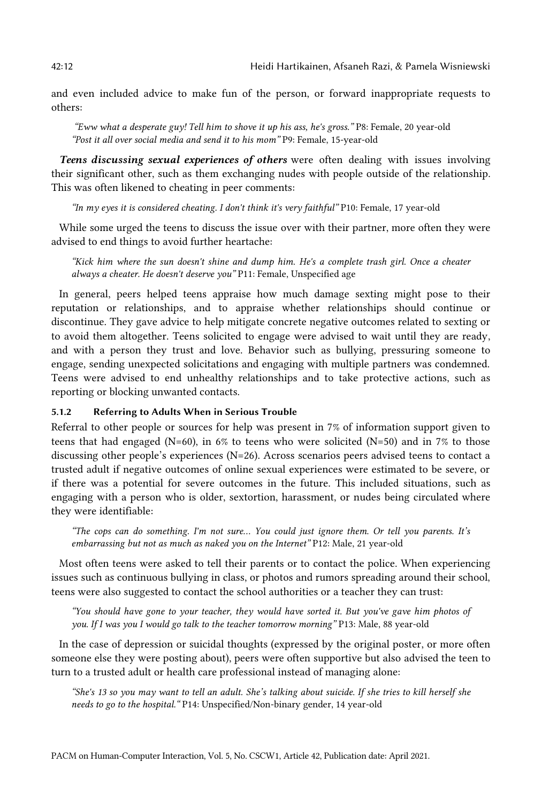and even included advice to make fun of the person, or forward inappropriate requests to others:

*"Eww what a desperate guy! Tell him to shove it up his ass, he's gross."* P8: Female, 20 year-old *"Post it all over social media and send it to his mom"* P9: Female, 15-year-old

*Teens discussing sexual experiences of others* were often dealing with issues involving their significant other, such as them exchanging nudes with people outside of the relationship. This was often likened to cheating in peer comments:

*"In my eyes it is considered cheating. I don't think it's very faithful"* P10: Female, 17 year-old

While some urged the teens to discuss the issue over with their partner, more often they were advised to end things to avoid further heartache:

*"Kick him where the sun doesn't shine and dump him. He's a complete trash girl. Once a cheater always a cheater. He doesn't deserve you"* P11: Female, Unspecified age

In general, peers helped teens appraise how much damage sexting might pose to their reputation or relationships, and to appraise whether relationships should continue or discontinue. They gave advice to help mitigate concrete negative outcomes related to sexting or to avoid them altogether. Teens solicited to engage were advised to wait until they are ready, and with a person they trust and love. Behavior such as bullying, pressuring someone to engage, sending unexpected solicitations and engaging with multiple partners was condemned. Teens were advised to end unhealthy relationships and to take protective actions, such as reporting or blocking unwanted contacts.

#### 5.1.2 Referring to Adults When in Serious Trouble

Referral to other people or sources for help was present in 7% of information support given to teens that had engaged (N=60), in 6% to teens who were solicited (N=50) and in 7% to those discussing other people's experiences (N=26). Across scenarios peers advised teens to contact a trusted adult if negative outcomes of online sexual experiences were estimated to be severe, or if there was a potential for severe outcomes in the future. This included situations, such as engaging with a person who is older, sextortion, harassment, or nudes being circulated where they were identifiable:

*"The cops can do something. I'm not sure… You could just ignore them. Or tell you parents. It's embarrassing but not as much as naked you on the Internet"* P12: Male, 21 year-old

Most often teens were asked to tell their parents or to contact the police. When experiencing issues such as continuous bullying in class, or photos and rumors spreading around their school, teens were also suggested to contact the school authorities or a teacher they can trust:

*"You should have gone to your teacher, they would have sorted it. But you've gave him photos of you. If I was you I would go talk to the teacher tomorrow morning"* P13: Male, 88 year-old

In the case of depression or suicidal thoughts (expressed by the original poster, or more often someone else they were posting about), peers were often supportive but also advised the teen to turn to a trusted adult or health care professional instead of managing alone:

*"She's 13 so you may want to tell an adult. She's talking about suicide. If she tries to kill herself she needs to go to the hospital."* P14: Unspecified/Non-binary gender, 14 year-old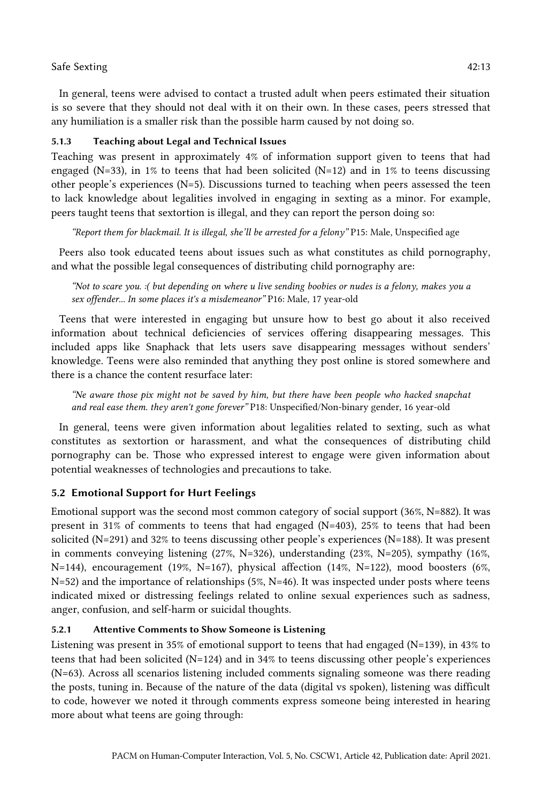In general, teens were advised to contact a trusted adult when peers estimated their situation is so severe that they should not deal with it on their own. In these cases, peers stressed that

## 5.1.3 Teaching about Legal and Technical Issues

Teaching was present in approximately 4% of information support given to teens that had engaged (N=33), in 1% to teens that had been solicited (N=12) and in 1% to teens discussing other people's experiences (N=5). Discussions turned to teaching when peers assessed the teen to lack knowledge about legalities involved in engaging in sexting as a minor. For example, peers taught teens that sextortion is illegal, and they can report the person doing so:

any humiliation is a smaller risk than the possible harm caused by not doing so.

*"Report them for blackmail. It is illegal, she'll be arrested for a felony"* P15: Male, Unspecified age

Peers also took educated teens about issues such as what constitutes as child pornography, and what the possible legal consequences of distributing child pornography are:

*"Not to scare you. :( but depending on where u live sending boobies or nudes is a felony, makes you a sex offender... In some places it's a misdemeanor"* P16: Male, 17 year-old

Teens that were interested in engaging but unsure how to best go about it also received information about technical deficiencies of services offering disappearing messages. This included apps like Snaphack that lets users save disappearing messages without senders' knowledge. Teens were also reminded that anything they post online is stored somewhere and there is a chance the content resurface later:

*"Ne aware those pix might not be saved by him, but there have been people who hacked snapchat and real ease them. they aren't gone forever"* P18: Unspecified/Non-binary gender, 16 year-old

In general, teens were given information about legalities related to sexting, such as what constitutes as sextortion or harassment, and what the consequences of distributing child pornography can be. Those who expressed interest to engage were given information about potential weaknesses of technologies and precautions to take.

## 5.2 Emotional Support for Hurt Feelings

Emotional support was the second most common category of social support (36%, N=882). It was present in 31% of comments to teens that had engaged (N=403), 25% to teens that had been solicited (N=291) and 32% to teens discussing other people's experiences (N=188). It was present in comments conveying listening (27%, N=326), understanding (23%, N=205), sympathy (16%,  $N=144$ ), encouragement (19%, N=167), physical affection (14%, N=122), mood boosters (6%,  $N=52$ ) and the importance of relationships (5%, N=46). It was inspected under posts where teens indicated mixed or distressing feelings related to online sexual experiences such as sadness, anger, confusion, and self-harm or suicidal thoughts.

## 5.2.1 Attentive Comments to Show Someone is Listening

Listening was present in 35% of emotional support to teens that had engaged (N=139), in 43% to teens that had been solicited (N=124) and in 34% to teens discussing other people's experiences (N=63). Across all scenarios listening included comments signaling someone was there reading the posts, tuning in. Because of the nature of the data (digital vs spoken), listening was difficult to code, however we noted it through comments express someone being interested in hearing more about what teens are going through: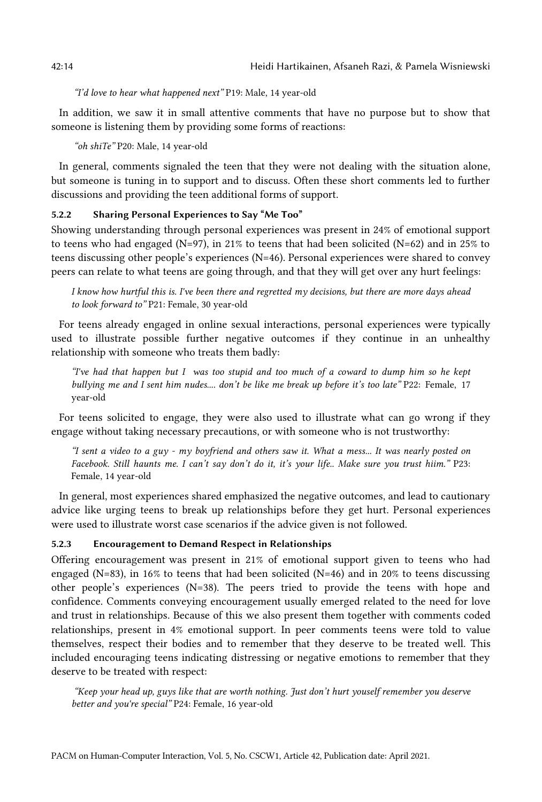*"I'd love to hear what happened next"* P19: Male, 14 year-old

In addition, we saw it in small attentive comments that have no purpose but to show that someone is listening them by providing some forms of reactions:

*"oh shiTe"* P20: Male, 14 year-old

In general, comments signaled the teen that they were not dealing with the situation alone, but someone is tuning in to support and to discuss. Often these short comments led to further discussions and providing the teen additional forms of support.

## 5.2.2 Sharing Personal Experiences to Say "Me Too"

Showing understanding through personal experiences was present in 24% of emotional support to teens who had engaged (N=97), in 21% to teens that had been solicited (N=62) and in 25% to teens discussing other people's experiences (N=46). Personal experiences were shared to convey peers can relate to what teens are going through, and that they will get over any hurt feelings:

*I know how hurtful this is. I've been there and regretted my decisions, but there are more days ahead to look forward to"* P21: Female, 30 year-old

For teens already engaged in online sexual interactions, personal experiences were typically used to illustrate possible further negative outcomes if they continue in an unhealthy relationship with someone who treats them badly:

*"I've had that happen but I was too stupid and too much of a coward to dump him so he kept bullying me and I sent him nudes.... don't be like me break up before it's too late"* P22: Female, 17 year-old

For teens solicited to engage, they were also used to illustrate what can go wrong if they engage without taking necessary precautions, or with someone who is not trustworthy:

*"I sent a video to a guy - my boyfriend and others saw it. What a mess... It was nearly posted on Facebook. Still haunts me. I can't say don't do it, it's your life.. Make sure you trust hiim."* P23: Female, 14 year-old

In general, most experiences shared emphasized the negative outcomes, and lead to cautionary advice like urging teens to break up relationships before they get hurt. Personal experiences were used to illustrate worst case scenarios if the advice given is not followed.

## 5.2.3 Encouragement to Demand Respect in Relationships

Offering encouragement was present in 21% of emotional support given to teens who had engaged (N=83), in 16% to teens that had been solicited (N=46) and in 20% to teens discussing other people's experiences (N=38). The peers tried to provide the teens with hope and confidence. Comments conveying encouragement usually emerged related to the need for love and trust in relationships. Because of this we also present them together with comments coded relationships, present in 4% emotional support. In peer comments teens were told to value themselves, respect their bodies and to remember that they deserve to be treated well. This included encouraging teens indicating distressing or negative emotions to remember that they deserve to be treated with respect:

*"Keep your head up, guys like that are worth nothing. Just don't hurt youself remember you deserve better and you're special"* P24: Female, 16 year-old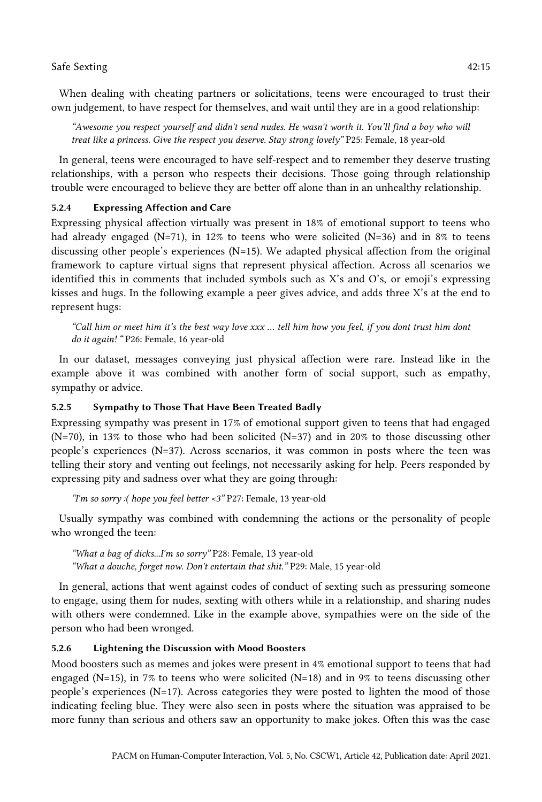*"Awesome you respect yourself and didn't send nudes. He wasn't worth it. You'll find a boy who will treat like a princess. Give the respect you deserve. Stay strong lovely"* P25: Female, 18 year-old

In general, teens were encouraged to have self-respect and to remember they deserve trusting relationships, with a person who respects their decisions. Those going through relationship trouble were encouraged to believe they are better off alone than in an unhealthy relationship.

## 5.2.4 Expressing Affection and Care

Expressing physical affection virtually was present in 18% of emotional support to teens who had already engaged (N=71), in 12% to teens who were solicited (N=36) and in 8% to teens discussing other people's experiences (N=15). We adapted physical affection from the original framework to capture virtual signs that represent physical affection. Across all scenarios we identified this in comments that included symbols such as X's and O's, or emoji's expressing kisses and hugs*.* In the following example a peer gives advice, and adds three X's at the end to represent hugs:

*"Call him or meet him it's the best way love xxx … tell him how you feel, if you dont trust him dont do it again! "* P26: Female, 16 year-old

In our dataset, messages conveying just physical affection were rare. Instead like in the example above it was combined with another form of social support, such as empathy, sympathy or advice.

## 5.2.5 Sympathy to Those That Have Been Treated Badly

Expressing sympathy was present in 17% of emotional support given to teens that had engaged  $(N=70)$ , in 13% to those who had been solicited  $(N=37)$  and in 20% to those discussing other people's experiences (N=37). Across scenarios, it was common in posts where the teen was telling their story and venting out feelings, not necessarily asking for help. Peers responded by expressing pity and sadness over what they are going through:

*"I'm so sorry :( hope you feel better <3"* P27: Female, 13 year-old

Usually sympathy was combined with condemning the actions or the personality of people who wronged the teen:

*"What a bag of dicks...I'm so sorry"* P28: Female, 13 year-old *"What a douche, forget now. Don't entertain that shit."* P29: Male, 15 year-old

In general, actions that went against codes of conduct of sexting such as pressuring someone to engage, using them for nudes, sexting with others while in a relationship, and sharing nudes with others were condemned. Like in the example above, sympathies were on the side of the person who had been wronged.

## 5.2.6 Lightening the Discussion with Mood Boosters

Mood boosters such as memes and jokes were present in 4% emotional support to teens that had engaged (N=15), in 7% to teens who were solicited (N=18) and in 9% to teens discussing other people's experiences  $(N=17)$ . Across categories they were posted to lighten the mood of those indicating feeling blue. They were also seen in posts where the situation was appraised to be more funny than serious and others saw an opportunity to make jokes. Often this was the case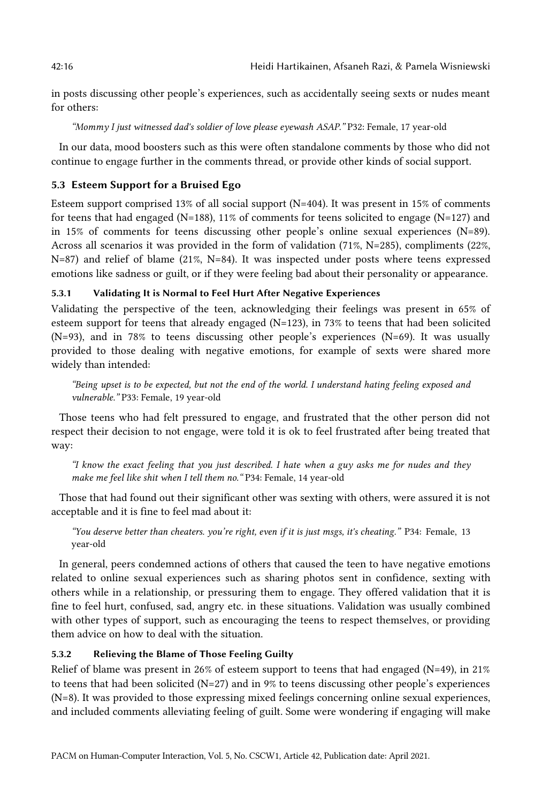in posts discussing other people's experiences, such as accidentally seeing sexts or nudes meant for others:

*"Mommy I just witnessed dad's soldier of love please eyewash ASAP."* P32: Female, 17 year-old

In our data, mood boosters such as this were often standalone comments by those who did not continue to engage further in the comments thread, or provide other kinds of social support.

## 5.3 Esteem Support for a Bruised Ego

Esteem support comprised 13% of all social support (N=404). It was present in 15% of comments for teens that had engaged ( $N=188$ ), 11% of comments for teens solicited to engage ( $N=127$ ) and in 15% of comments for teens discussing other people's online sexual experiences (N=89). Across all scenarios it was provided in the form of validation (71%, N=285), compliments (22%, N=87) and relief of blame (21%, N=84). It was inspected under posts where teens expressed emotions like sadness or guilt, or if they were feeling bad about their personality or appearance.

## 5.3.1 Validating It is Normal to Feel Hurt After Negative Experiences

Validating the perspective of the teen, acknowledging their feelings was present in 65% of esteem support for teens that already engaged ( $N=123$ ), in 73% to teens that had been solicited (N=93), and in 78% to teens discussing other people's experiences (N=69). It was usually provided to those dealing with negative emotions, for example of sexts were shared more widely than intended:

*"Being upset is to be expected, but not the end of the world. I understand hating feeling exposed and vulnerable."* P33: Female, 19 year-old

Those teens who had felt pressured to engage, and frustrated that the other person did not respect their decision to not engage, were told it is ok to feel frustrated after being treated that way:

*"I know the exact feeling that you just described. I hate when a guy asks me for nudes and they make me feel like shit when I tell them no."* P34: Female, 14 year-old

Those that had found out their significant other was sexting with others, were assured it is not acceptable and it is fine to feel mad about it:

*"You deserve better than cheaters. you're right, even if it is just msgs, it's cheating."* P34: Female, 13 year-old

In general, peers condemned actions of others that caused the teen to have negative emotions related to online sexual experiences such as sharing photos sent in confidence, sexting with others while in a relationship, or pressuring them to engage. They offered validation that it is fine to feel hurt, confused, sad, angry etc. in these situations. Validation was usually combined with other types of support, such as encouraging the teens to respect themselves, or providing them advice on how to deal with the situation.

## 5.3.2 Relieving the Blame of Those Feeling Guilty

Relief of blame was present in 26% of esteem support to teens that had engaged (N=49), in 21% to teens that had been solicited  $(N=27)$  and in 9% to teens discussing other people's experiences (N=8). It was provided to those expressing mixed feelings concerning online sexual experiences, and included comments alleviating feeling of guilt. Some were wondering if engaging will make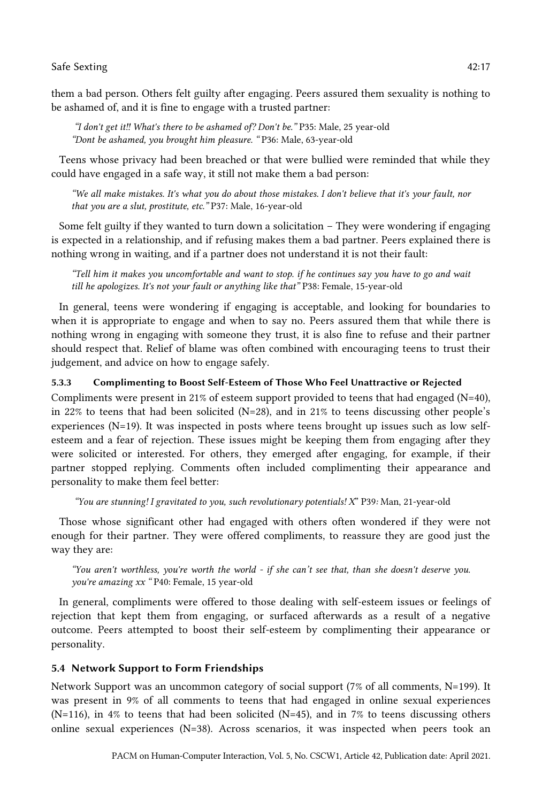them a bad person. Others felt guilty after engaging. Peers assured them sexuality is nothing to be ashamed of, and it is fine to engage with a trusted partner:

*"I don't get it!! What's there to be ashamed of? Don't be."* P35: Male, 25 year-old *"Dont be ashamed, you brought him pleasure. "* P36: Male, 63-year-old

Teens whose privacy had been breached or that were bullied were reminded that while they could have engaged in a safe way, it still not make them a bad person:

*"We all make mistakes. It's what you do about those mistakes. I don't believe that it's your fault, nor that you are a slut, prostitute, etc."* P37: Male, 16-year-old

Some felt guilty if they wanted to turn down a solicitation – They were wondering if engaging is expected in a relationship, and if refusing makes them a bad partner. Peers explained there is nothing wrong in waiting, and if a partner does not understand it is not their fault:

*"Tell him it makes you uncomfortable and want to stop. if he continues say you have to go and wait till he apologizes. It's not your fault or anything like that"* P38: Female, 15-year-old

In general, teens were wondering if engaging is acceptable, and looking for boundaries to when it is appropriate to engage and when to say no. Peers assured them that while there is nothing wrong in engaging with someone they trust, it is also fine to refuse and their partner should respect that. Relief of blame was often combined with encouraging teens to trust their judgement, and advice on how to engage safely.

## 5.3.3 Complimenting to Boost Self-Esteem of Those Who Feel Unattractive or Rejected

Compliments were present in 21% of esteem support provided to teens that had engaged (N=40), in 22% to teens that had been solicited  $(N=28)$ , and in 21% to teens discussing other people's experiences (N=19). It was inspected in posts where teens brought up issues such as low selfesteem and a fear of rejection. These issues might be keeping them from engaging after they were solicited or interested. For others, they emerged after engaging, for example, if their partner stopped replying. Comments often included complimenting their appearance and personality to make them feel better:

*"You are stunning! I gravitated to you, such revolutionary potentials! X*" P39*:* Man, 21-year-old

Those whose significant other had engaged with others often wondered if they were not enough for their partner. They were offered compliments, to reassure they are good just the way they are:

*"You aren't worthless, you're worth the world - if she can't see that, than she doesn't deserve you. you're amazing xx "* P40: Female, 15 year-old

In general, compliments were offered to those dealing with self-esteem issues or feelings of rejection that kept them from engaging, or surfaced afterwards as a result of a negative outcome. Peers attempted to boost their self-esteem by complimenting their appearance or personality.

### 5.4 Network Support to Form Friendships

Network Support was an uncommon category of social support (7% of all comments, N=199). It was present in 9% of all comments to teens that had engaged in online sexual experiences (N=116), in 4% to teens that had been solicited (N=45), and in 7% to teens discussing others online sexual experiences (N=38). Across scenarios, it was inspected when peers took an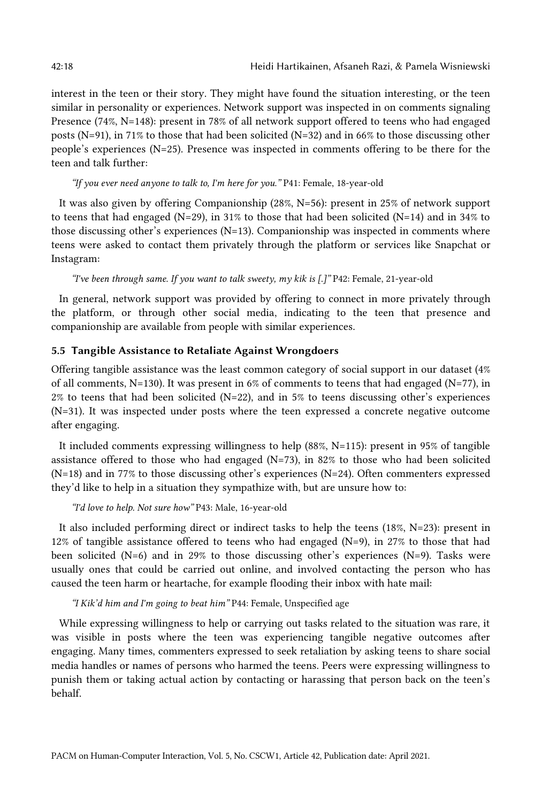interest in the teen or their story. They might have found the situation interesting, or the teen similar in personality or experiences. Network support was inspected in on comments signaling Presence (74%, N=148): present in 78% of all network support offered to teens who had engaged posts (N=91), in 71% to those that had been solicited (N=32) and in 66% to those discussing other people's experiences (N=25). Presence was inspected in comments offering to be there for the teen and talk further:

*"If you ever need anyone to talk to, I'm here for you."* P41: Female, 18-year-old

It was also given by offering Companionship (28%, N=56): present in 25% of network support to teens that had engaged (N=29), in 31% to those that had been solicited (N=14) and in 34% to those discussing other's experiences (N=13). Companionship was inspected in comments where teens were asked to contact them privately through the platform or services like Snapchat or Instagram:

*"I've been through same. If you want to talk sweety, my kik is [.]"* P42: Female, 21-year-old

In general, network support was provided by offering to connect in more privately through the platform, or through other social media, indicating to the teen that presence and companionship are available from people with similar experiences.

## 5.5 Tangible Assistance to Retaliate Against Wrongdoers

Offering tangible assistance was the least common category of social support in our dataset (4% of all comments, N=130). It was present in 6% of comments to teens that had engaged (N=77), in  $2\%$  to teens that had been solicited (N=22), and in 5% to teens discussing other's experiences (N=31). It was inspected under posts where the teen expressed a concrete negative outcome after engaging.

It included comments expressing willingness to help (88%, N=115): present in 95% of tangible assistance offered to those who had engaged  $(N=73)$ , in 82% to those who had been solicited (N=18) and in 77% to those discussing other's experiences (N=24). Often commenters expressed they'd like to help in a situation they sympathize with, but are unsure how to:

*"I'd love to help. Not sure how"* P43: Male, 16-year-old

It also included performing direct or indirect tasks to help the teens (18%, N=23): present in 12% of tangible assistance offered to teens who had engaged ( $N=9$ ), in 27% to those that had been solicited ( $N=6$ ) and in 29% to those discussing other's experiences ( $N=9$ ). Tasks were usually ones that could be carried out online, and involved contacting the person who has caused the teen harm or heartache, for example flooding their inbox with hate mail:

*"I Kik'd him and I'm going to beat him"* P44: Female, Unspecified age

While expressing willingness to help or carrying out tasks related to the situation was rare, it was visible in posts where the teen was experiencing tangible negative outcomes after engaging. Many times, commenters expressed to seek retaliation by asking teens to share social media handles or names of persons who harmed the teens. Peers were expressing willingness to punish them or taking actual action by contacting or harassing that person back on the teen's behalf.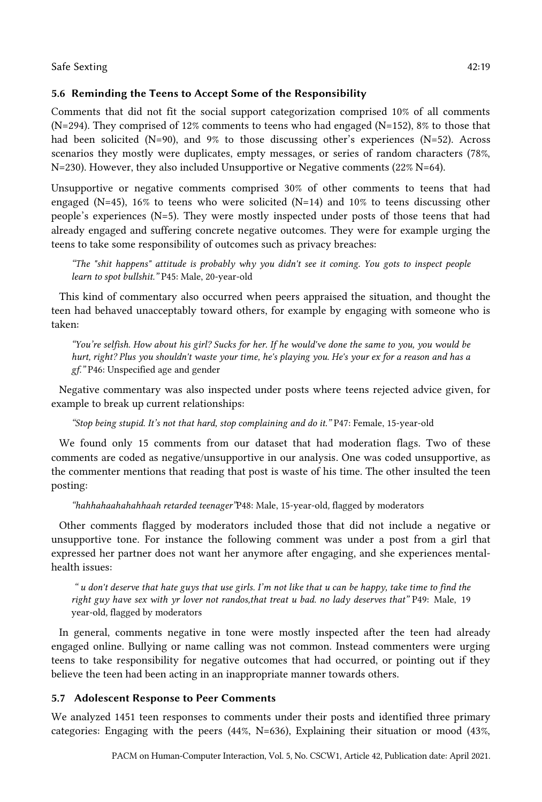## 5.6 Reminding the Teens to Accept Some of the Responsibility

Comments that did not fit the social support categorization comprised 10% of all comments (N=294). They comprised of 12% comments to teens who had engaged (N=152), 8% to those that had been solicited (N=90), and 9% to those discussing other's experiences (N=52). Across scenarios they mostly were duplicates, empty messages, or series of random characters (78%, N=230). However, they also included Unsupportive or Negative comments (22% N=64).

Unsupportive or negative comments comprised 30% of other comments to teens that had engaged (N=45), 16% to teens who were solicited (N=14) and 10% to teens discussing other people's experiences (N=5). They were mostly inspected under posts of those teens that had already engaged and suffering concrete negative outcomes. They were for example urging the teens to take some responsibility of outcomes such as privacy breaches:

*"The "shit happens" attitude is probably why you didn't see it coming. You gots to inspect people learn to spot bullshit."* P45: Male, 20-year-old

This kind of commentary also occurred when peers appraised the situation, and thought the teen had behaved unacceptably toward others, for example by engaging with someone who is taken:

*"You're selfish. How about his girl? Sucks for her. If he would've done the same to you, you would be hurt, right? Plus you shouldn't waste your time, he's playing you. He's your ex for a reason and has a gf."* P46: Unspecified age and gender

Negative commentary was also inspected under posts where teens rejected advice given, for example to break up current relationships:

*"Stop being stupid. It's not that hard, stop complaining and do it."* P47: Female, 15-year-old

We found only 15 comments from our dataset that had moderation flags. Two of these comments are coded as negative/unsupportive in our analysis. One was coded unsupportive, as the commenter mentions that reading that post is waste of his time. The other insulted the teen posting:

*"hahhahaahahahhaah retarded teenager"*P48: Male, 15-year-old*,* flagged by moderators

Other comments flagged by moderators included those that did not include a negative or unsupportive tone. For instance the following comment was under a post from a girl that expressed her partner does not want her anymore after engaging, and she experiences mentalhealth issues:

*" u don't deserve that hate guys that use girls. I'm not like that u can be happy, take time to find the right guy have sex with yr lover not randos,that treat u bad. no lady deserves that"* P49: Male, 19 year-old*,* flagged by moderators

In general, comments negative in tone were mostly inspected after the teen had already engaged online. Bullying or name calling was not common. Instead commenters were urging teens to take responsibility for negative outcomes that had occurred, or pointing out if they believe the teen had been acting in an inappropriate manner towards others.

## 5.7 Adolescent Response to Peer Comments

We analyzed 1451 teen responses to comments under their posts and identified three primary categories: Engaging with the peers (44%, N=636), Explaining their situation or mood (43%,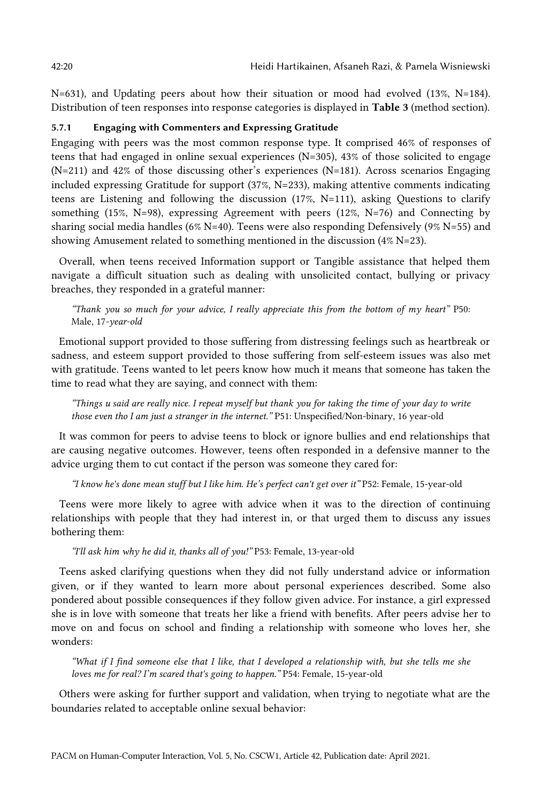N=631), and Updating peers about how their situation or mood had evolved (13%, N=184). Distribution of teen responses into response categories is displayed in Table 3 (method section).

#### 5.7.1 Engaging with Commenters and Expressing Gratitude

Engaging with peers was the most common response type. It comprised 46% of responses of teens that had engaged in online sexual experiences  $(N=305)$ , 43% of those solicited to engage (N=211) and 42% of those discussing other's experiences (N=181). Across scenarios Engaging included expressing Gratitude for support (37%, N=233), making attentive comments indicating teens are Listening and following the discussion (17%, N=111), asking Questions to clarify something (15%, N=98), expressing Agreement with peers (12%, N=76) and Connecting by sharing social media handles (6% N=40). Teens were also responding Defensively (9% N=55) and showing Amusement related to something mentioned in the discussion (4% N=23).

Overall, when teens received Information support or Tangible assistance that helped them navigate a difficult situation such as dealing with unsolicited contact, bullying or privacy breaches, they responded in a grateful manner:

*"Thank you so much for your advice, I really appreciate this from the bottom of my heart"* P50: Male, 17*-year-old*

Emotional support provided to those suffering from distressing feelings such as heartbreak or sadness, and esteem support provided to those suffering from self-esteem issues was also met with gratitude. Teens wanted to let peers know how much it means that someone has taken the time to read what they are saying, and connect with them:

*"Things u said are really nice. I repeat myself but thank you for taking the time of your day to write those even tho I am just a stranger in the internet."* P51: Unspecified/Non-binary, 16 year-old

It was common for peers to advise teens to block or ignore bullies and end relationships that are causing negative outcomes. However, teens often responded in a defensive manner to the advice urging them to cut contact if the person was someone they cared for:

*"I know he's done mean stuff but I like him. He's perfect can't get over it"* P52: Female, 15-year-old

Teens were more likely to agree with advice when it was to the direction of continuing relationships with people that they had interest in, or that urged them to discuss any issues bothering them:

*"I'll ask him why he did it, thanks all of you!"* P53: Female, 13-year-old

Teens asked clarifying questions when they did not fully understand advice or information given, or if they wanted to learn more about personal experiences described. Some also pondered about possible consequences if they follow given advice. For instance, a girl expressed she is in love with someone that treats her like a friend with benefits. After peers advise her to move on and focus on school and finding a relationship with someone who loves her, she wonders:

*"What if I find someone else that I like, that I developed a relationship with, but she tells me she loves me for real? I'm scared that's going to happen."* P54: Female, 15-year-old

Others were asking for further support and validation, when trying to negotiate what are the boundaries related to acceptable online sexual behavior: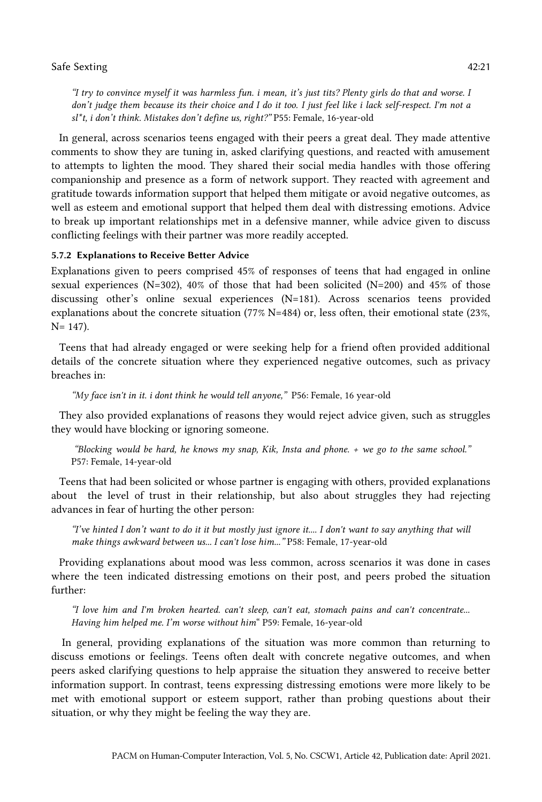*"I try to convince myself it was harmless fun. i mean, it's just tits? Plenty girls do that and worse. I don't judge them because its their choice and I do it too. I just feel like i lack self-respect. I'm not a sl\*t, i don't think. Mistakes don't define us, right?"* P55: Female, 16-year-old

In general, across scenarios teens engaged with their peers a great deal. They made attentive comments to show they are tuning in, asked clarifying questions, and reacted with amusement to attempts to lighten the mood. They shared their social media handles with those offering companionship and presence as a form of network support. They reacted with agreement and gratitude towards information support that helped them mitigate or avoid negative outcomes, as well as esteem and emotional support that helped them deal with distressing emotions. Advice to break up important relationships met in a defensive manner, while advice given to discuss conflicting feelings with their partner was more readily accepted.

## 5.7.2 Explanations to Receive Better Advice

Explanations given to peers comprised 45% of responses of teens that had engaged in online sexual experiences (N=302),  $40\%$  of those that had been solicited (N=200) and  $45\%$  of those discussing other's online sexual experiences (N=181). Across scenarios teens provided explanations about the concrete situation (77% N=484) or, less often, their emotional state (23%, N= 147).

Teens that had already engaged or were seeking help for a friend often provided additional details of the concrete situation where they experienced negative outcomes, such as privacy breaches in:

*"My face isn't in it. i dont think he would tell anyone,"* P56: Female, 16 year-old

They also provided explanations of reasons they would reject advice given, such as struggles they would have blocking or ignoring someone.

*"Blocking would be hard, he knows my snap, Kik, Insta and phone. + we go to the same school."* P57: Female, 14-year-old

Teens that had been solicited or whose partner is engaging with others, provided explanations about the level of trust in their relationship, but also about struggles they had rejecting advances in fear of hurting the other person:

*"I've hinted I don't want to do it it but mostly just ignore it.... I don't want to say anything that will make things awkward between us... I can't lose him..."* P58: Female, 17-year-old

Providing explanations about mood was less common, across scenarios it was done in cases where the teen indicated distressing emotions on their post, and peers probed the situation further:

*"I love him and I'm broken hearted. can't sleep, can't eat, stomach pains and can't concentrate... Having him helped me. I'm worse without him*" P59: Female, 16-year-old

In general, providing explanations of the situation was more common than returning to discuss emotions or feelings. Teens often dealt with concrete negative outcomes, and when peers asked clarifying questions to help appraise the situation they answered to receive better information support. In contrast, teens expressing distressing emotions were more likely to be met with emotional support or esteem support, rather than probing questions about their situation, or why they might be feeling the way they are.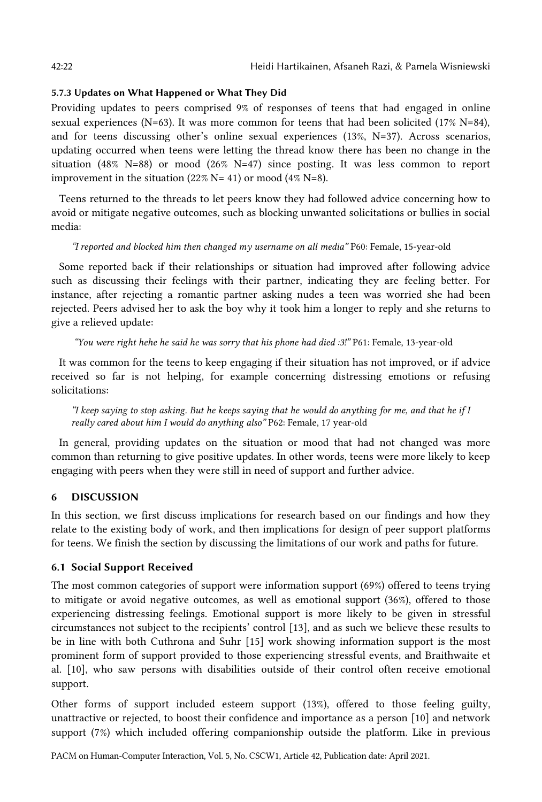## 5.7.3 Updates on What Happened or What They Did

Providing updates to peers comprised 9% of responses of teens that had engaged in online sexual experiences (N=63). It was more common for teens that had been solicited (17% N=84), and for teens discussing other's online sexual experiences (13%, N=37). Across scenarios, updating occurred when teens were letting the thread know there has been no change in the situation (48% N=88) or mood (26% N=47) since posting. It was less common to report improvement in the situation (22% N= 41) or mood (4% N=8).

Teens returned to the threads to let peers know they had followed advice concerning how to avoid or mitigate negative outcomes, such as blocking unwanted solicitations or bullies in social media:

## *"I reported and blocked him then changed my username on all media"* P60: Female, 15-year-old

Some reported back if their relationships or situation had improved after following advice such as discussing their feelings with their partner, indicating they are feeling better. For instance, after rejecting a romantic partner asking nudes a teen was worried she had been rejected. Peers advised her to ask the boy why it took him a longer to reply and she returns to give a relieved update:

*"You were right hehe he said he was sorry that his phone had died :3!"* P61: Female, 13-year-old

It was common for the teens to keep engaging if their situation has not improved, or if advice received so far is not helping, for example concerning distressing emotions or refusing solicitations:

*"I keep saying to stop asking. But he keeps saying that he would do anything for me, and that he if I really cared about him I would do anything also"* P62: Female, 17 year-old

In general, providing updates on the situation or mood that had not changed was more common than returning to give positive updates. In other words, teens were more likely to keep engaging with peers when they were still in need of support and further advice.

## 6 DISCUSSION

In this section, we first discuss implications for research based on our findings and how they relate to the existing body of work, and then implications for design of peer support platforms for teens. We finish the section by discussing the limitations of our work and paths for future.

## 6.1 Social Support Received

The most common categories of support were information support (69%) offered to teens trying to mitigate or avoid negative outcomes, as well as emotional support (36%), offered to those experiencing distressing feelings. Emotional support is more likely to be given in stressful circumstances not subject to the recipients' control [13], and as such we believe these results to be in line with both Cuthrona and Suhr [15] work showing information support is the most prominent form of support provided to those experiencing stressful events, and Braithwaite et al. [10], who saw persons with disabilities outside of their control often receive emotional support.

Other forms of support included esteem support (13%), offered to those feeling guilty, unattractive or rejected, to boost their confidence and importance as a person [10] and network support (7%) which included offering companionship outside the platform. Like in previous

PACM on Human-Computer Interaction, Vol. 5, No. CSCW1, Article 42, Publication date: April 2021.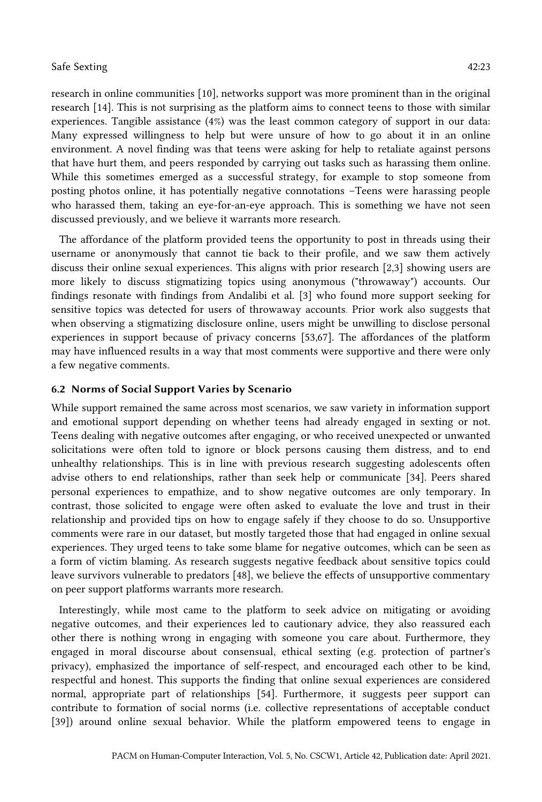research in online communities [10], networks support was more prominent than in the original research [14]. This is not surprising as the platform aims to connect teens to those with similar experiences. Tangible assistance (4%) was the least common category of support in our data: Many expressed willingness to help but were unsure of how to go about it in an online environment. A novel finding was that teens were asking for help to retaliate against persons that have hurt them, and peers responded by carrying out tasks such as harassing them online. While this sometimes emerged as a successful strategy, for example to stop someone from posting photos online, it has potentially negative connotations –Teens were harassing people who harassed them, taking an eye-for-an-eye approach. This is something we have not seen discussed previously, and we believe it warrants more research.

The affordance of the platform provided teens the opportunity to post in threads using their username or anonymously that cannot tie back to their profile, and we saw them actively discuss their online sexual experiences. This aligns with prior research [2,3] showing users are more likely to discuss stigmatizing topics using anonymous ("throwaway") accounts. Our findings resonate with findings from Andalibi et al. [3] who found more support seeking for sensitive topics was detected for users of throwaway accounts. Prior work also suggests that when observing a stigmatizing disclosure online, users might be unwilling to disclose personal experiences in support because of privacy concerns [53,67]. The affordances of the platform may have influenced results in a way that most comments were supportive and there were only a few negative comments.

## 6.2 Norms of Social Support Varies by Scenario

While support remained the same across most scenarios, we saw variety in information support and emotional support depending on whether teens had already engaged in sexting or not. Teens dealing with negative outcomes after engaging, or who received unexpected or unwanted solicitations were often told to ignore or block persons causing them distress, and to end unhealthy relationships. This is in line with previous research suggesting adolescents often advise others to end relationships, rather than seek help or communicate [34]. Peers shared personal experiences to empathize, and to show negative outcomes are only temporary. In contrast, those solicited to engage were often asked to evaluate the love and trust in their relationship and provided tips on how to engage safely if they choose to do so. Unsupportive comments were rare in our dataset, but mostly targeted those that had engaged in online sexual experiences. They urged teens to take some blame for negative outcomes, which can be seen as a form of victim blaming. As research suggests negative feedback about sensitive topics could leave survivors vulnerable to predators [48], we believe the effects of unsupportive commentary on peer support platforms warrants more research.

Interestingly, while most came to the platform to seek advice on mitigating or avoiding negative outcomes, and their experiences led to cautionary advice, they also reassured each other there is nothing wrong in engaging with someone you care about. Furthermore, they engaged in moral discourse about consensual, ethical sexting (e.g. protection of partner's privacy), emphasized the importance of self-respect, and encouraged each other to be kind, respectful and honest. This supports the finding that online sexual experiences are considered normal, appropriate part of relationships [54]. Furthermore, it suggests peer support can contribute to formation of social norms (i.e. collective representations of acceptable conduct [39]) around online sexual behavior. While the platform empowered teens to engage in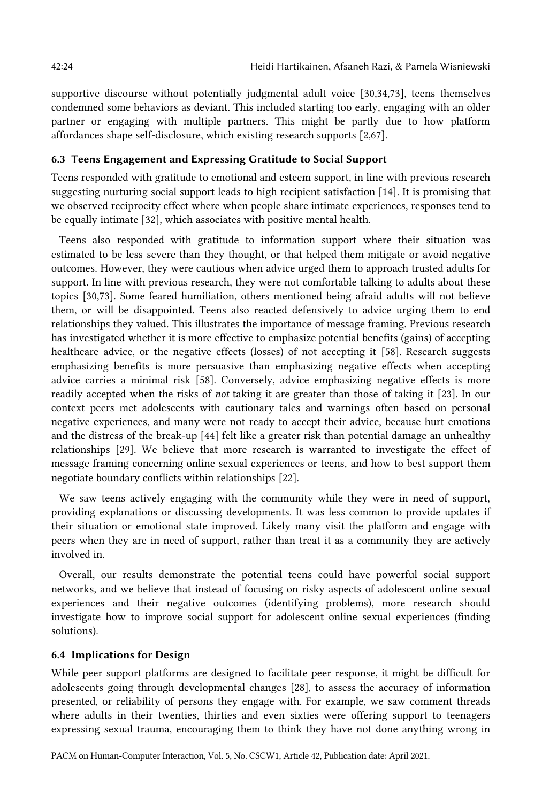supportive discourse without potentially judgmental adult voice [30,34,73], teens themselves condemned some behaviors as deviant. This included starting too early, engaging with an older partner or engaging with multiple partners. This might be partly due to how platform affordances shape self-disclosure, which existing research supports [2,67].

#### 6.3 Teens Engagement and Expressing Gratitude to Social Support

Teens responded with gratitude to emotional and esteem support, in line with previous research suggesting nurturing social support leads to high recipient satisfaction [14]. It is promising that we observed reciprocity effect where when people share intimate experiences, responses tend to be equally intimate [32], which associates with positive mental health.

Teens also responded with gratitude to information support where their situation was estimated to be less severe than they thought, or that helped them mitigate or avoid negative outcomes. However, they were cautious when advice urged them to approach trusted adults for support. In line with previous research, they were not comfortable talking to adults about these topics [30,73]. Some feared humiliation, others mentioned being afraid adults will not believe them, or will be disappointed. Teens also reacted defensively to advice urging them to end relationships they valued. This illustrates the importance of message framing. Previous research has investigated whether it is more effective to emphasize potential benefits (gains) of accepting healthcare advice, or the negative effects (losses) of not accepting it [58]. Research suggests emphasizing benefits is more persuasive than emphasizing negative effects when accepting advice carries a minimal risk [58]. Conversely, advice emphasizing negative effects is more readily accepted when the risks of *not* taking it are greater than those of taking it [23]. In our context peers met adolescents with cautionary tales and warnings often based on personal negative experiences, and many were not ready to accept their advice, because hurt emotions and the distress of the break-up [44] felt like a greater risk than potential damage an unhealthy relationships [29]. We believe that more research is warranted to investigate the effect of message framing concerning online sexual experiences or teens, and how to best support them negotiate boundary conflicts within relationships [22].

We saw teens actively engaging with the community while they were in need of support, providing explanations or discussing developments. It was less common to provide updates if their situation or emotional state improved. Likely many visit the platform and engage with peers when they are in need of support, rather than treat it as a community they are actively involved in.

Overall, our results demonstrate the potential teens could have powerful social support networks, and we believe that instead of focusing on risky aspects of adolescent online sexual experiences and their negative outcomes (identifying problems), more research should investigate how to improve social support for adolescent online sexual experiences (finding solutions).

## 6.4 Implications for Design

While peer support platforms are designed to facilitate peer response, it might be difficult for adolescents going through developmental changes [28], to assess the accuracy of information presented, or reliability of persons they engage with. For example, we saw comment threads where adults in their twenties, thirties and even sixties were offering support to teenagers expressing sexual trauma, encouraging them to think they have not done anything wrong in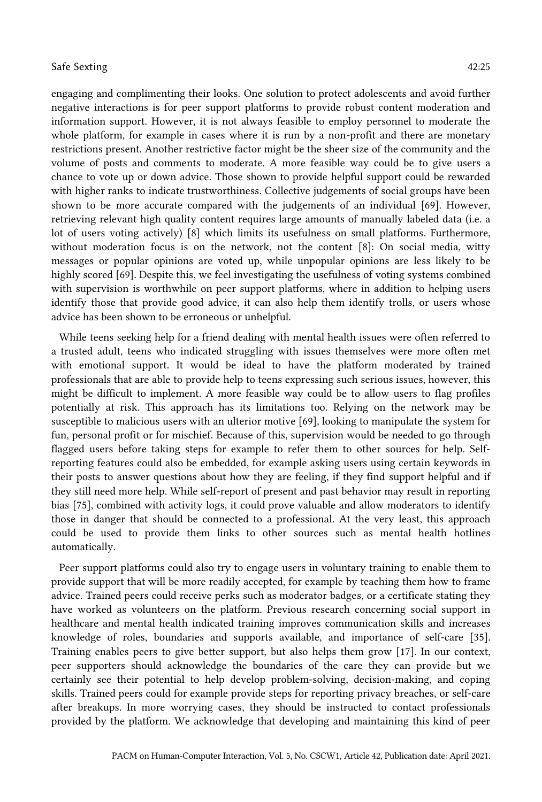engaging and complimenting their looks. One solution to protect adolescents and avoid further negative interactions is for peer support platforms to provide robust content moderation and information support. However, it is not always feasible to employ personnel to moderate the whole platform, for example in cases where it is run by a non-profit and there are monetary restrictions present. Another restrictive factor might be the sheer size of the community and the volume of posts and comments to moderate. A more feasible way could be to give users a chance to vote up or down advice. Those shown to provide helpful support could be rewarded with higher ranks to indicate trustworthiness. Collective judgements of social groups have been shown to be more accurate compared with the judgements of an individual [69]. However, retrieving relevant high quality content requires large amounts of manually labeled data (i.e. a lot of users voting actively) [8] which limits its usefulness on small platforms. Furthermore, without moderation focus is on the network, not the content [8]: On social media, witty messages or popular opinions are voted up, while unpopular opinions are less likely to be highly scored [69]. Despite this, we feel investigating the usefulness of voting systems combined with supervision is worthwhile on peer support platforms, where in addition to helping users identify those that provide good advice, it can also help them identify trolls, or users whose advice has been shown to be erroneous or unhelpful.

While teens seeking help for a friend dealing with mental health issues were often referred to a trusted adult, teens who indicated struggling with issues themselves were more often met with emotional support. It would be ideal to have the platform moderated by trained professionals that are able to provide help to teens expressing such serious issues, however, this might be difficult to implement. A more feasible way could be to allow users to flag profiles potentially at risk. This approach has its limitations too. Relying on the network may be susceptible to malicious users with an ulterior motive [69], looking to manipulate the system for fun, personal profit or for mischief. Because of this, supervision would be needed to go through flagged users before taking steps for example to refer them to other sources for help. Selfreporting features could also be embedded, for example asking users using certain keywords in their posts to answer questions about how they are feeling, if they find support helpful and if they still need more help. While self-report of present and past behavior may result in reporting bias [75], combined with activity logs, it could prove valuable and allow moderators to identify those in danger that should be connected to a professional. At the very least, this approach could be used to provide them links to other sources such as mental health hotlines automatically.

Peer support platforms could also try to engage users in voluntary training to enable them to provide support that will be more readily accepted, for example by teaching them how to frame advice. Trained peers could receive perks such as moderator badges, or a certificate stating they have worked as volunteers on the platform. Previous research concerning social support in healthcare and mental health indicated training improves communication skills and increases knowledge of roles, boundaries and supports available, and importance of self-care [35]. Training enables peers to give better support, but also helps them grow [17]. In our context, peer supporters should acknowledge the boundaries of the care they can provide but we certainly see their potential to help develop problem-solving, decision-making, and coping skills. Trained peers could for example provide steps for reporting privacy breaches, or self-care after breakups. In more worrying cases, they should be instructed to contact professionals provided by the platform. We acknowledge that developing and maintaining this kind of peer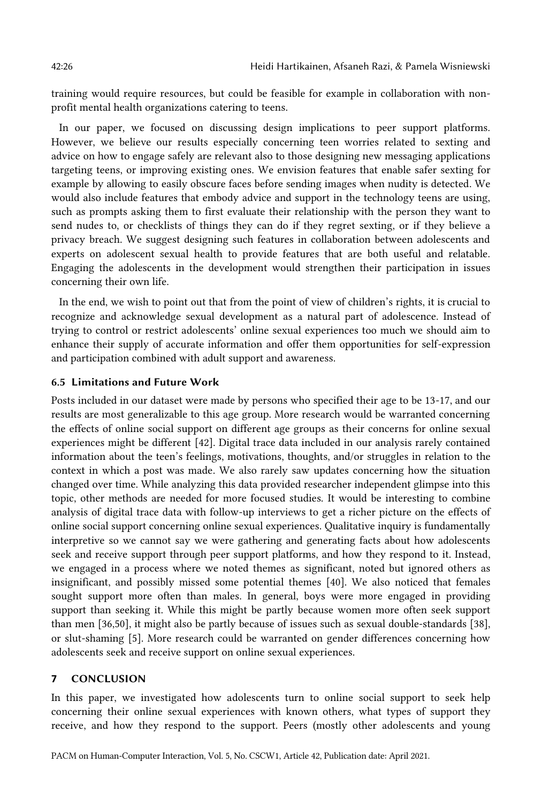training would require resources, but could be feasible for example in collaboration with nonprofit mental health organizations catering to teens.

In our paper, we focused on discussing design implications to peer support platforms. However, we believe our results especially concerning teen worries related to sexting and advice on how to engage safely are relevant also to those designing new messaging applications targeting teens, or improving existing ones. We envision features that enable safer sexting for example by allowing to easily obscure faces before sending images when nudity is detected. We would also include features that embody advice and support in the technology teens are using, such as prompts asking them to first evaluate their relationship with the person they want to send nudes to, or checklists of things they can do if they regret sexting, or if they believe a privacy breach. We suggest designing such features in collaboration between adolescents and experts on adolescent sexual health to provide features that are both useful and relatable. Engaging the adolescents in the development would strengthen their participation in issues concerning their own life.

In the end, we wish to point out that from the point of view of children's rights, it is crucial to recognize and acknowledge sexual development as a natural part of adolescence. Instead of trying to control or restrict adolescents' online sexual experiences too much we should aim to enhance their supply of accurate information and offer them opportunities for self-expression and participation combined with adult support and awareness.

#### 6.5 Limitations and Future Work

Posts included in our dataset were made by persons who specified their age to be 13-17, and our results are most generalizable to this age group. More research would be warranted concerning the effects of online social support on different age groups as their concerns for online sexual experiences might be different [42]. Digital trace data included in our analysis rarely contained information about the teen's feelings, motivations, thoughts, and/or struggles in relation to the context in which a post was made. We also rarely saw updates concerning how the situation changed over time. While analyzing this data provided researcher independent glimpse into this topic, other methods are needed for more focused studies. It would be interesting to combine analysis of digital trace data with follow-up interviews to get a richer picture on the effects of online social support concerning online sexual experiences. Qualitative inquiry is fundamentally interpretive so we cannot say we were gathering and generating facts about how adolescents seek and receive support through peer support platforms, and how they respond to it. Instead, we engaged in a process where we noted themes as significant, noted but ignored others as insignificant, and possibly missed some potential themes [40]. We also noticed that females sought support more often than males. In general, boys were more engaged in providing support than seeking it. While this might be partly because women more often seek support than men [36,50], it might also be partly because of issues such as sexual double-standards [38], or slut-shaming [5]. More research could be warranted on gender differences concerning how adolescents seek and receive support on online sexual experiences.

### **7** CONCLUSION

In this paper, we investigated how adolescents turn to online social support to seek help concerning their online sexual experiences with known others, what types of support they receive, and how they respond to the support. Peers (mostly other adolescents and young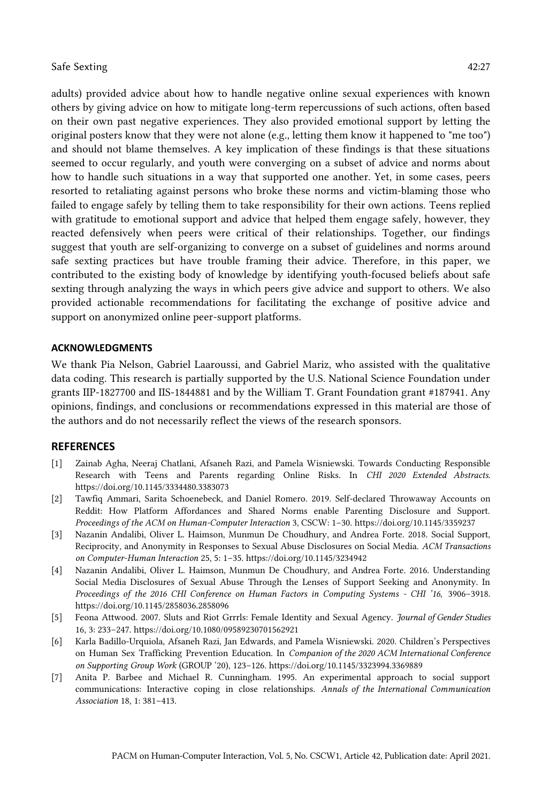adults) provided advice about how to handle negative online sexual experiences with known others by giving advice on how to mitigate long-term repercussions of such actions, often based on their own past negative experiences. They also provided emotional support by letting the original posters know that they were not alone (e.g., letting them know it happened to "me too") and should not blame themselves. A key implication of these findings is that these situations seemed to occur regularly, and youth were converging on a subset of advice and norms about how to handle such situations in a way that supported one another. Yet, in some cases, peers resorted to retaliating against persons who broke these norms and victim-blaming those who failed to engage safely by telling them to take responsibility for their own actions. Teens replied with gratitude to emotional support and advice that helped them engage safely, however, they reacted defensively when peers were critical of their relationships. Together, our findings suggest that youth are self-organizing to converge on a subset of guidelines and norms around safe sexting practices but have trouble framing their advice. Therefore, in this paper, we contributed to the existing body of knowledge by identifying youth-focused beliefs about safe sexting through analyzing the ways in which peers give advice and support to others. We also provided actionable recommendations for facilitating the exchange of positive advice and support on anonymized online peer-support platforms.

#### **ACKNOWLEDGMENTS**

We thank Pia Nelson, Gabriel Laaroussi, and Gabriel Mariz, who assisted with the qualitative data coding. This research is partially supported by the U.S. National Science Foundation under grants IIP-1827700 and IIS-1844881 and by the William T. Grant Foundation grant #187941. Any opinions, findings, and conclusions or recommendations expressed in this material are those of the authors and do not necessarily reflect the views of the research sponsors.

#### **REFERENCES**

- [1] Zainab Agha, Neeraj Chatlani, Afsaneh Razi, and Pamela Wisniewski. Towards Conducting Responsible Research with Teens and Parents regarding Online Risks. In *CHI 2020 Extended Abstracts*. https://doi.org/10.1145/3334480.3383073
- [2] Tawfiq Ammari, Sarita Schoenebeck, and Daniel Romero. 2019. Self-declared Throwaway Accounts on Reddit: How Platform Affordances and Shared Norms enable Parenting Disclosure and Support. *Proceedings of the ACM on Human-Computer Interaction* 3, CSCW: 1–30. https://doi.org/10.1145/3359237
- [3] Nazanin Andalibi, Oliver L. Haimson, Munmun De Choudhury, and Andrea Forte. 2018. Social Support, Reciprocity, and Anonymity in Responses to Sexual Abuse Disclosures on Social Media. *ACM Transactions on Computer-Human Interaction* 25, 5: 1–35. https://doi.org/10.1145/3234942
- [4] Nazanin Andalibi, Oliver L. Haimson, Munmun De Choudhury, and Andrea Forte. 2016. Understanding Social Media Disclosures of Sexual Abuse Through the Lenses of Support Seeking and Anonymity. In *Proceedings of the 2016 CHI Conference on Human Factors in Computing Systems - CHI '16*, 3906–3918. https://doi.org/10.1145/2858036.2858096
- [5] Feona Attwood. 2007. Sluts and Riot Grrrls: Female Identity and Sexual Agency. *Journal of Gender Studies* 16, 3: 233–247. https://doi.org/10.1080/09589230701562921
- [6] Karla Badillo-Urquiola, Afsaneh Razi, Jan Edwards, and Pamela Wisniewski. 2020. Children's Perspectives on Human Sex Trafficking Prevention Education. In *Companion of the 2020 ACM International Conference on Supporting Group Work* (GROUP '20), 123–126. https://doi.org/10.1145/3323994.3369889
- [7] Anita P. Barbee and Michael R. Cunningham. 1995. An experimental approach to social support communications: Interactive coping in close relationships. *Annals of the International Communication Association* 18, 1: 381–413.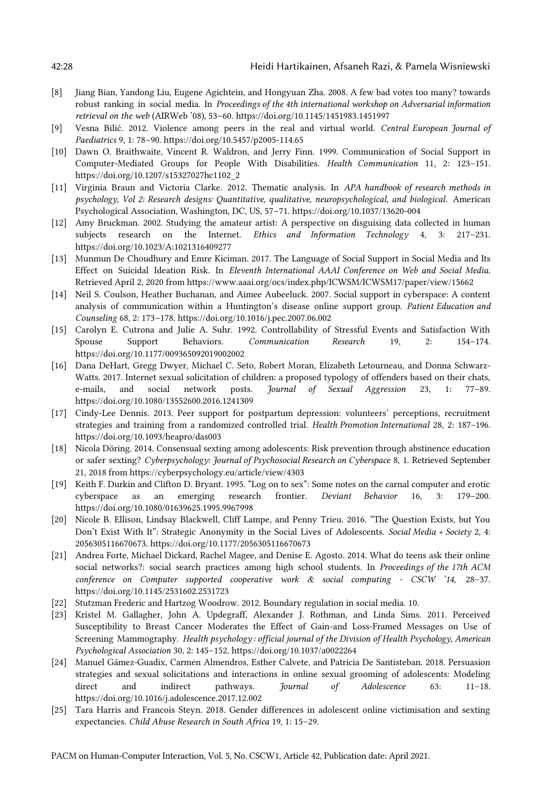- [8] Jiang Bian, Yandong Liu, Eugene Agichtein, and Hongyuan Zha. 2008. A few bad votes too many? towards robust ranking in social media. In *Proceedings of the 4th international workshop on Adversarial information retrieval on the web* (AIRWeb '08), 53–60. https://doi.org/10.1145/1451983.1451997
- [9] Vesna Bilić. 2012. Violence among peers in the real and virtual world. *Central European Journal of Paediatrics* 9, 1: 78–90. https://doi.org/10.5457/p2005-114.65
- [10] Dawn O. Braithwaite, Vincent R. Waldron, and Jerry Finn. 1999. Communication of Social Support in Computer-Mediated Groups for People With Disabilities. *Health Communication* 11, 2: 123–151. https://doi.org/10.1207/s15327027hc1102\_2
- [11] Virginia Braun and Victoria Clarke. 2012. Thematic analysis. In *APA handbook of research methods in psychology, Vol 2: Research designs: Quantitative, qualitative, neuropsychological, and biological*. American Psychological Association, Washington, DC, US, 57–71. https://doi.org/10.1037/13620-004
- [12] Amy Bruckman. 2002. Studying the amateur artist: A perspective on disguising data collected in human subjects research on the Internet. *Ethics and Information Technology* 4, 3: 217–231. https://doi.org/10.1023/A:1021316409277
- [13] Munmun De Choudhury and Emre Kiciman. 2017. The Language of Social Support in Social Media and Its Effect on Suicidal Ideation Risk. In *Eleventh International AAAI Conference on Web and Social Media*. Retrieved April 2, 2020 from https://www.aaai.org/ocs/index.php/ICWSM/ICWSM17/paper/view/15662
- [14] Neil S. Coulson, Heather Buchanan, and Aimee Aubeeluck. 2007. Social support in cyberspace: A content analysis of communication within a Huntington's disease online support group. *Patient Education and Counseling* 68, 2: 173–178. https://doi.org/10.1016/j.pec.2007.06.002
- [15] Carolyn E. Cutrona and Julie A. Suhr. 1992. Controllability of Stressful Events and Satisfaction With Spouse Support Behaviors. *Communication Research* 19, 2: 154–174. https://doi.org/10.1177/009365092019002002
- [16] Dana DeHart, Gregg Dwyer, Michael C. Seto, Robert Moran, Elizabeth Letourneau, and Donna Schwarz-Watts. 2017. Internet sexual solicitation of children: a proposed typology of offenders based on their chats, e-mails, and social network posts. *Journal of Sexual Aggression* 23, 1: 77–89. https://doi.org/10.1080/13552600.2016.1241309
- [17] Cindy-Lee Dennis. 2013. Peer support for postpartum depression: volunteers' perceptions, recruitment strategies and training from a randomized controlled trial. *Health Promotion International* 28, 2: 187–196. https://doi.org/10.1093/heapro/das003
- [18] Nicola Döring. 2014. Consensual sexting among adolescents: Risk prevention through abstinence education or safer sexting? *Cyberpsychology: Journal of Psychosocial Research on Cyberspace* 8, 1. Retrieved September 21, 2018 from https://cyberpsychology.eu/article/view/4303
- [19] Keith F. Durkin and Clifton D. Bryant. 1995. "Log on to sex": Some notes on the carnal computer and erotic cyberspace as an emerging research frontier. *Deviant Behavior* 16, 3: 179–200. https://doi.org/10.1080/01639625.1995.9967998
- [20] Nicole B. Ellison, Lindsay Blackwell, Cliff Lampe, and Penny Trieu. 2016. "The Question Exists, but You Don't Exist With It": Strategic Anonymity in the Social Lives of Adolescents. *Social Media + Society* 2, 4: 2056305116670673. https://doi.org/10.1177/2056305116670673
- [21] Andrea Forte, Michael Dickard, Rachel Magee, and Denise E. Agosto. 2014. What do teens ask their online social networks?: social search practices among high school students. In *Proceedings of the 17th ACM conference on Computer supported cooperative work & social computing - CSCW '14*, 28–37. https://doi.org/10.1145/2531602.2531723
- [22] Stutzman Frederic and Hartzog Woodrow. 2012. Boundary regulation in social media. 10.
- [23] Kristel M. Gallagher, John A. Updegraff, Alexander J. Rothman, and Linda Sims. 2011. Perceived Susceptibility to Breast Cancer Moderates the Effect of Gain-and Loss-Framed Messages on Use of Screening Mammography. *Health psychology : official journal of the Division of Health Psychology, American Psychological Association* 30, 2: 145–152. https://doi.org/10.1037/a0022264
- [24] Manuel Gámez-Guadix, Carmen Almendros, Esther Calvete, and Patricia De Santisteban. 2018. Persuasion strategies and sexual solicitations and interactions in online sexual grooming of adolescents: Modeling direct and indirect pathways. *Journal of Adolescence* 63: 11–18. https://doi.org/10.1016/j.adolescence.2017.12.002
- [25] Tara Harris and Francois Steyn. 2018. Gender differences in adolescent online victimisation and sexting expectancies. *Child Abuse Research in South Africa* 19, 1: 15–29.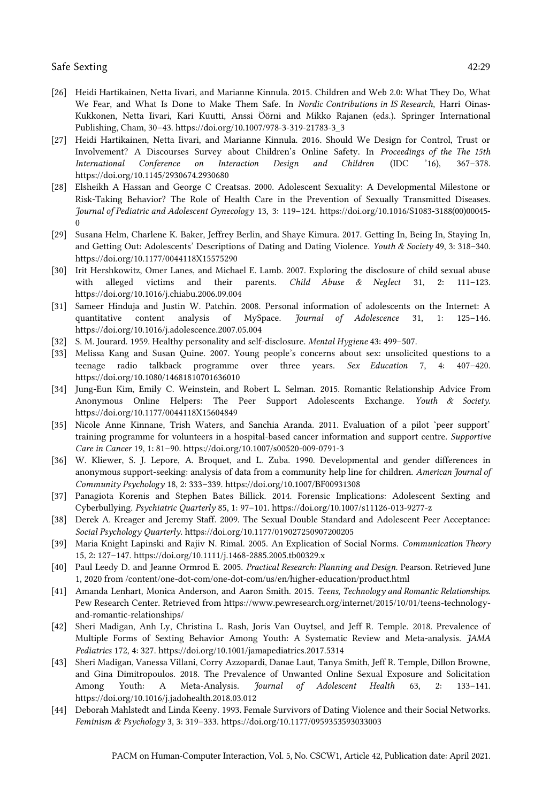- [26] Heidi Hartikainen, Netta Iivari, and Marianne Kinnula. 2015. Children and Web 2.0: What They Do, What We Fear, and What Is Done to Make Them Safe. In *Nordic Contributions in IS Research*, Harri Oinas-Kukkonen, Netta Iivari, Kari Kuutti, Anssi Öörni and Mikko Rajanen (eds.). Springer International Publishing, Cham, 30–43. https://doi.org/10.1007/978-3-319-21783-3\_3
- [27] Heidi Hartikainen, Netta Iivari, and Marianne Kinnula. 2016. Should We Design for Control, Trust or Involvement? A Discourses Survey about Children's Online Safety. In *Proceedings of the The 15th International Conference on Interaction Design and Children* (IDC '16), 367–378. https://doi.org/10.1145/2930674.2930680
- [28] Elsheikh A Hassan and George C Creatsas. 2000. Adolescent Sexuality: A Developmental Milestone or Risk-Taking Behavior? The Role of Health Care in the Prevention of Sexually Transmitted Diseases. *Journal of Pediatric and Adolescent Gynecology* 13, 3: 119–124. https://doi.org/10.1016/S1083-3188(00)00045-  $\Omega$
- [29] Susana Helm, Charlene K. Baker, Jeffrey Berlin, and Shaye Kimura. 2017. Getting In, Being In, Staying In, and Getting Out: Adolescents' Descriptions of Dating and Dating Violence. *Youth & Society* 49, 3: 318–340. https://doi.org/10.1177/0044118X15575290
- [30] Irit Hershkowitz, Omer Lanes, and Michael E. Lamb. 2007. Exploring the disclosure of child sexual abuse with alleged victims and their parents. *Child Abuse & Neglect* 31, 2: 111–123. https://doi.org/10.1016/j.chiabu.2006.09.004
- [31] Sameer Hinduja and Justin W. Patchin. 2008. Personal information of adolescents on the Internet: A quantitative content analysis of MySpace. *Journal of Adolescence* 31, 1: 125–146. https://doi.org/10.1016/j.adolescence.2007.05.004
- [32] S. M. Jourard. 1959. Healthy personality and self-disclosure. *Mental Hygiene* 43: 499–507.
- [33] Melissa Kang and Susan Quine. 2007. Young people's concerns about sex: unsolicited questions to a teenage radio talkback programme over three years. *Sex Education* 7, 4: 407–420. https://doi.org/10.1080/14681810701636010
- [34] Jung-Eun Kim, Emily C. Weinstein, and Robert L. Selman. 2015. Romantic Relationship Advice From Anonymous Online Helpers: The Peer Support Adolescents Exchange. *Youth & Society*. https://doi.org/10.1177/0044118X15604849
- [35] Nicole Anne Kinnane, Trish Waters, and Sanchia Aranda. 2011. Evaluation of a pilot 'peer support' training programme for volunteers in a hospital-based cancer information and support centre. *Supportive Care in Cancer* 19, 1: 81–90. https://doi.org/10.1007/s00520-009-0791-3
- [36] W. Kliewer, S. J. Lepore, A. Broquet, and L. Zuba. 1990. Developmental and gender differences in anonymous support-seeking: analysis of data from a community help line for children. *American Journal of Community Psychology* 18, 2: 333–339. https://doi.org/10.1007/BF00931308
- [37] Panagiota Korenis and Stephen Bates Billick. 2014. Forensic Implications: Adolescent Sexting and Cyberbullying. *Psychiatric Quarterly* 85, 1: 97–101. https://doi.org/10.1007/s11126-013-9277-z
- [38] Derek A. Kreager and Jeremy Staff. 2009. The Sexual Double Standard and Adolescent Peer Acceptance: *Social Psychology Quarterly*. https://doi.org/10.1177/019027250907200205
- [39] Maria Knight Lapinski and Rajiv N. Rimal. 2005. An Explication of Social Norms. *Communication Theory* 15, 2: 127–147. https://doi.org/10.1111/j.1468-2885.2005.tb00329.x
- [40] Paul Leedy D. and Jeanne Ormrod E. 2005. *Practical Research: Planning and Design*. Pearson. Retrieved June 1, 2020 from /content/one-dot-com/one-dot-com/us/en/higher-education/product.html
- [41] Amanda Lenhart, Monica Anderson, and Aaron Smith. 2015. *Teens, Technology and Romantic Relationships*. Pew Research Center. Retrieved from https://www.pewresearch.org/internet/2015/10/01/teens-technologyand-romantic-relationships/
- [42] Sheri Madigan, Anh Ly, Christina L. Rash, Joris Van Ouytsel, and Jeff R. Temple. 2018. Prevalence of Multiple Forms of Sexting Behavior Among Youth: A Systematic Review and Meta-analysis. *JAMA Pediatrics* 172, 4: 327. https://doi.org/10.1001/jamapediatrics.2017.5314
- [43] Sheri Madigan, Vanessa Villani, Corry Azzopardi, Danae Laut, Tanya Smith, Jeff R. Temple, Dillon Browne, and Gina Dimitropoulos. 2018. The Prevalence of Unwanted Online Sexual Exposure and Solicitation Among Youth: A Meta-Analysis. *Journal of Adolescent Health* 63, 2: 133–141. https://doi.org/10.1016/j.jadohealth.2018.03.012
- [44] Deborah Mahlstedt and Linda Keeny. 1993. Female Survivors of Dating Violence and their Social Networks. *Feminism & Psychology* 3, 3: 319–333. https://doi.org/10.1177/0959353593033003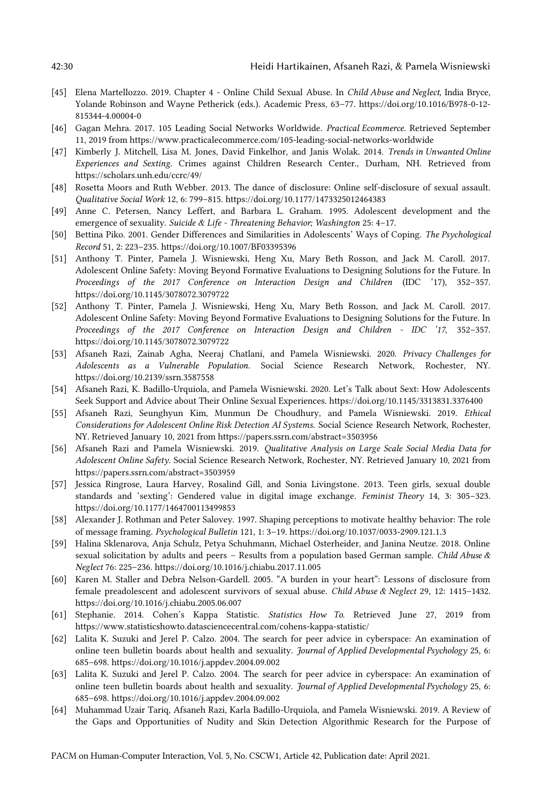- [45] Elena Martellozzo. 2019. Chapter 4 Online Child Sexual Abuse. In *Child Abuse and Neglect*, India Bryce, Yolande Robinson and Wayne Petherick (eds.). Academic Press, 63–77. https://doi.org/10.1016/B978-0-12- 815344-4.00004-0
- [46] Gagan Mehra. 2017. 105 Leading Social Networks Worldwide. *Practical Ecommerce*. Retrieved September 11, 2019 from https://www.practicalecommerce.com/105-leading-social-networks-worldwide
- [47] Kimberly J. Mitchell, Lisa M. Jones, David Finkelhor, and Janis Wolak. 2014. *Trends in Unwanted Online Experiences and Sexting*. Crimes against Children Research Center., Durham, NH. Retrieved from https://scholars.unh.edu/ccrc/49/
- [48] Rosetta Moors and Ruth Webber. 2013. The dance of disclosure: Online self-disclosure of sexual assault. *Qualitative Social Work* 12, 6: 799–815. https://doi.org/10.1177/1473325012464383
- [49] Anne C. Petersen, Nancy Leffert, and Barbara L. Graham. 1995. Adolescent development and the emergence of sexuality. *Suicide & Life - Threatening Behavior; Washington* 25: 4–17.
- [50] Bettina Piko. 2001. Gender Differences and Similarities in Adolescents' Ways of Coping. *The Psychological Record* 51, 2: 223–235. https://doi.org/10.1007/BF03395396
- [51] Anthony T. Pinter, Pamela J. Wisniewski, Heng Xu, Mary Beth Rosson, and Jack M. Caroll. 2017. Adolescent Online Safety: Moving Beyond Formative Evaluations to Designing Solutions for the Future. In *Proceedings of the 2017 Conference on Interaction Design and Children* (IDC '17), 352–357. https://doi.org/10.1145/3078072.3079722
- [52] Anthony T. Pinter, Pamela J. Wisniewski, Heng Xu, Mary Beth Rosson, and Jack M. Caroll. 2017. Adolescent Online Safety: Moving Beyond Formative Evaluations to Designing Solutions for the Future. In *Proceedings of the 2017 Conference on Interaction Design and Children - IDC '17*, 352–357. https://doi.org/10.1145/3078072.3079722
- [53] Afsaneh Razi, Zainab Agha, Neeraj Chatlani, and Pamela Wisniewski. 2020. *Privacy Challenges for Adolescents as a Vulnerable Population*. Social Science Research Network, Rochester, NY. https://doi.org/10.2139/ssrn.3587558
- [54] Afsaneh Razi, K. Badillo-Urquiola, and Pamela Wisniewski. 2020. Let's Talk about Sext: How Adolescents Seek Support and Advice about Their Online Sexual Experiences. https://doi.org/10.1145/3313831.3376400
- [55] Afsaneh Razi, Seunghyun Kim, Munmun De Choudhury, and Pamela Wisniewski. 2019. *Ethical Considerations for Adolescent Online Risk Detection AI Systems*. Social Science Research Network, Rochester, NY. Retrieved January 10, 2021 from https://papers.ssrn.com/abstract=3503956
- [56] Afsaneh Razi and Pamela Wisniewski. 2019. *Qualitative Analysis on Large Scale Social Media Data for Adolescent Online Safety*. Social Science Research Network, Rochester, NY. Retrieved January 10, 2021 from https://papers.ssrn.com/abstract=3503959
- [57] Jessica Ringrose, Laura Harvey, Rosalind Gill, and Sonia Livingstone. 2013. Teen girls, sexual double standards and 'sexting': Gendered value in digital image exchange. *Feminist Theory* 14, 3: 305–323. https://doi.org/10.1177/1464700113499853
- [58] Alexander J. Rothman and Peter Salovey. 1997. Shaping perceptions to motivate healthy behavior: The role of message framing. *Psychological Bulletin* 121, 1: 3–19. https://doi.org/10.1037/0033-2909.121.1.3
- [59] Halina Sklenarova, Anja Schulz, Petya Schuhmann, Michael Osterheider, and Janina Neutze. 2018. Online sexual solicitation by adults and peers – Results from a population based German sample. *Child Abuse & Neglect* 76: 225–236. https://doi.org/10.1016/j.chiabu.2017.11.005
- [60] Karen M. Staller and Debra Nelson-Gardell. 2005. "A burden in your heart": Lessons of disclosure from female preadolescent and adolescent survivors of sexual abuse. *Child Abuse & Neglect* 29, 12: 1415–1432. https://doi.org/10.1016/j.chiabu.2005.06.007
- [61] Stephanie. 2014. Cohen's Kappa Statistic. *Statistics How To*. Retrieved June 27, 2019 from https://www.statisticshowto.datasciencecentral.com/cohens-kappa-statistic/
- [62] Lalita K. Suzuki and Jerel P. Calzo. 2004. The search for peer advice in cyberspace: An examination of online teen bulletin boards about health and sexuality. *Journal of Applied Developmental Psychology* 25, 6: 685–698. https://doi.org/10.1016/j.appdev.2004.09.002
- [63] Lalita K. Suzuki and Jerel P. Calzo. 2004. The search for peer advice in cyberspace: An examination of online teen bulletin boards about health and sexuality. *Journal of Applied Developmental Psychology* 25, 6: 685–698. https://doi.org/10.1016/j.appdev.2004.09.002
- [64] Muhammad Uzair Tariq, Afsaneh Razi, Karla Badillo-Urquiola, and Pamela Wisniewski. 2019. A Review of the Gaps and Opportunities of Nudity and Skin Detection Algorithmic Research for the Purpose of